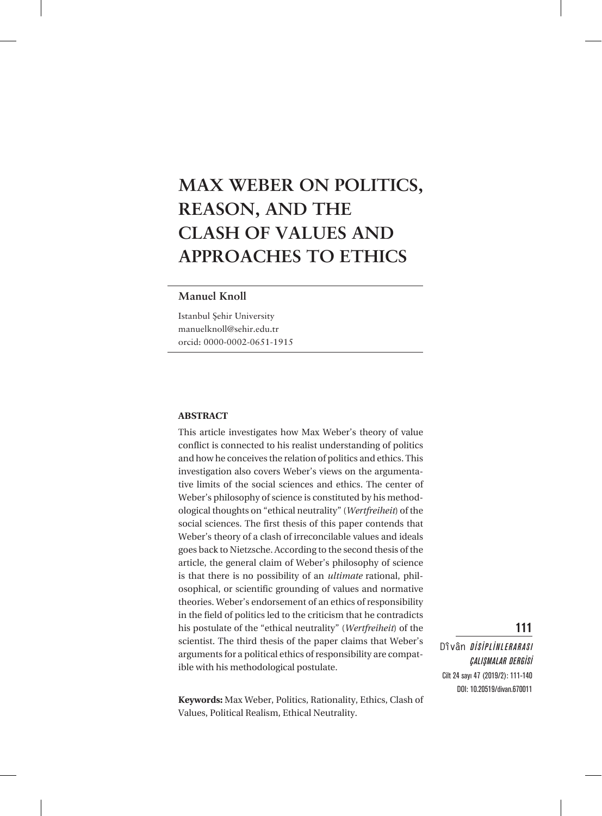# **MAX WEBER ON POLITICS, REASON, AND THE CLASH OF VALUES AND APPROACHES TO ETHICS**

### **Manuel Knoll**

Istanbul Şehir University manuelknoll@sehir.edu.tr orcid: 0000-0002-0651-1915

#### **ABSTRACT**

This article investigates how Max Weber's theory of value conflict is connected to his realist understanding of politics and how he conceives the relation of politics and ethics. This investigation also covers Weber's views on the argumentative limits of the social sciences and ethics. The center of Weber's philosophy of science is constituted by his methodological thoughts on "ethical neutrality" (*Wertfreiheit*) of the social sciences. The first thesis of this paper contends that Weber's theory of a clash of irreconcilable values and ideals goes back to Nietzsche. According to the second thesis of the article, the general claim of Weber's philosophy of science is that there is no possibility of an *ultimate* rational, philosophical, or scientific grounding of values and normative theories. Weber's endorsement of an ethics of responsibility in the field of politics led to the criticism that he contradicts his postulate of the "ethical neutrality" (*Wertfreiheit*) of the scientist. The third thesis of the paper claims that Weber's arguments for a political ethics of responsibility are compatible with his methodological postulate.

**Keywords:** Max Weber, Politics, Rationality, Ethics, Clash of Values, Political Realism, Ethical Neutrality.

**Dîvân** DİSİPLİNLERARASI ÇALIŞMALAR DERGİSİ Cilt 24 sayı 47 (2019/2): 111-140 DOI: 10.20519/divan.670011

111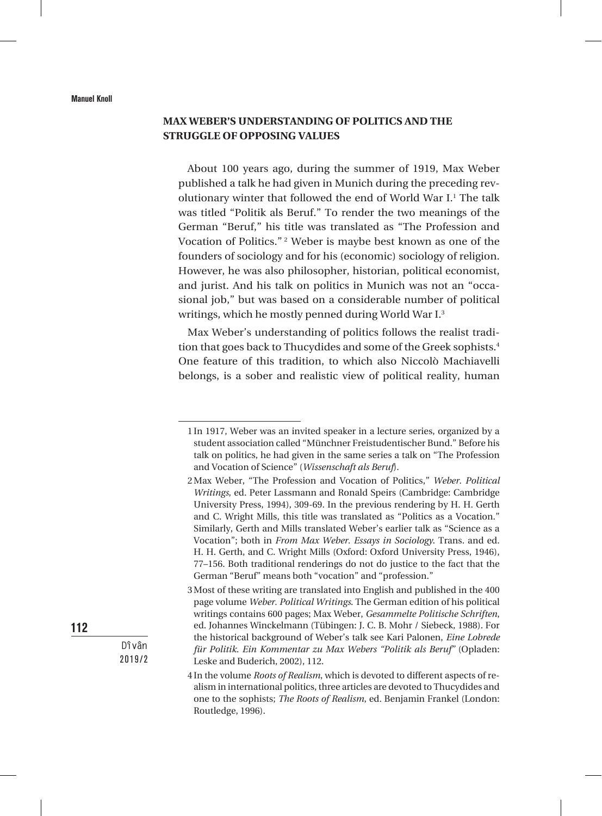## **MAX WEBER'S UNDERSTANDING OF POLITICS AND THE STRUGGLE OF OPPOSING VALUES**

About 100 years ago, during the summer of 1919, Max Weber published a talk he had given in Munich during the preceding revolutionary winter that followed the end of World War I.<sup>1</sup> The talk was titled "Politik als Beruf." To render the two meanings of the German "Beruf," his title was translated as "The Profession and Vocation of Politics." 2 Weber is maybe best known as one of the founders of sociology and for his (economic) sociology of religion. However, he was also philosopher, historian, political economist, and jurist. And his talk on politics in Munich was not an "occasional job," but was based on a considerable number of political writings, which he mostly penned during World War I.3

Max Weber's understanding of politics follows the realist tradition that goes back to Thucydides and some of the Greek sophists.<sup>4</sup> One feature of this tradition, to which also Niccolò Machiavelli belongs, is a sober and realistic view of political reality, human

112

<sup>1</sup> In 1917, Weber was an invited speaker in a lecture series, organized by a student association called "Münchner Freistudentischer Bund." Before his talk on politics, he had given in the same series a talk on "The Profession and Vocation of Science" (*Wissenschaft als Beruf*).

<sup>2</sup>Max Weber, "The Profession and Vocation of Politics," *Weber. Political Writings*, ed. Peter Lassmann and Ronald Speirs (Cambridge: Cambridge University Press, 1994), 309-69. In the previous rendering by H. H. Gerth and C. Wright Mills, this title was translated as "Politics as a Vocation." Similarly, Gerth and Mills translated Weber's earlier talk as "Science as a Vocation"; both in *From Max Weber. Essays in Sociology*. Trans. and ed. H. H. Gerth, and C. Wright Mills (Oxford: Oxford University Press, 1946), 77–156. Both traditional renderings do not do justice to the fact that the German "Beruf" means both "vocation" and "profession."

<sup>3</sup>Most of these writing are translated into English and published in the 400 page volume *Weber. Political Writings*. The German edition of his political writings contains 600 pages; Max Weber, *Gesammelte Politische Schriften*, ed. Johannes Winckelmann (Tübingen: J. C. B. Mohr / Siebeck, 1988). For the historical background of Weber's talk see Kari Palonen, *Eine Lobrede für Politik. Ein Kommentar zu Max Webers "Politik als Beruf"* (Opladen: Leske and Buderich, 2002), 112.

<sup>4</sup> In the volume *Roots of Realism*, which is devoted to different aspects of realism in international politics, three articles are devoted to Thucydides and one to the sophists; *The Roots of Realism*, ed. Benjamin Frankel (London: Routledge, 1996).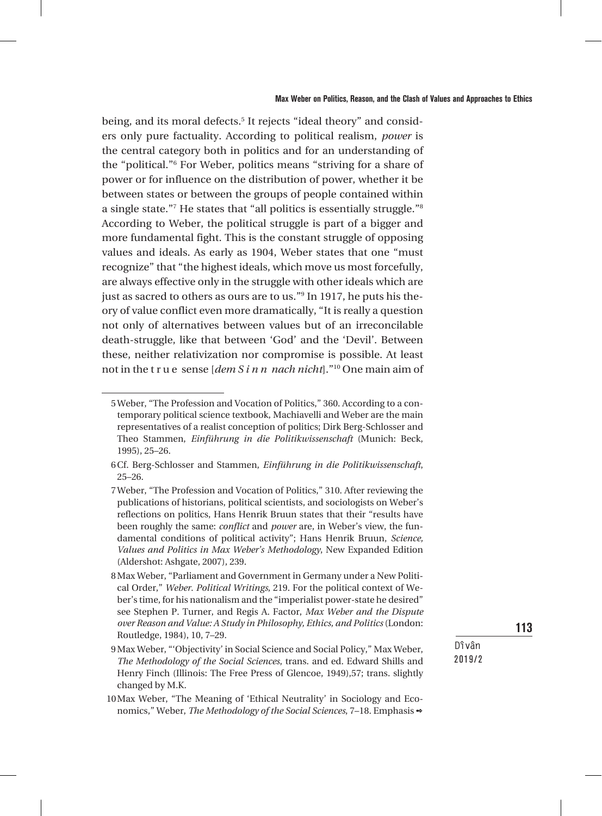being, and its moral defects.<sup>5</sup> It rejects "ideal theory" and considers only pure factuality. According to political realism, *power* is the central category both in politics and for an understanding of the "political."6 For Weber, politics means "striving for a share of power or for influence on the distribution of power, whether it be between states or between the groups of people contained within a single state."<sup>7</sup> He states that "all politics is essentially struggle."<sup>8</sup> According to Weber, the political struggle is part of a bigger and more fundamental fight. This is the constant struggle of opposing values and ideals. As early as 1904, Weber states that one "must recognize" that "the highest ideals, which move us most forcefully, are always effective only in the struggle with other ideals which are just as sacred to others as ours are to us."<sup>9</sup> In 1917, he puts his theory of value conflict even more dramatically, "It is really a question not only of alternatives between values but of an irreconcilable death-struggle, like that between 'God' and the 'Devil'. Between these, neither relativization nor compromise is possible. At least not in the t r u e sense [*dem S i n n nach nicht*]."10 One main aim of

113

<sup>5</sup>Weber, "The Profession and Vocation of Politics," 360. According to a contemporary political science textbook, Machiavelli and Weber are the main representatives of a realist conception of politics; Dirk Berg-Schlosser and Theo Stammen, *Einführung in die Politikwissenschaft* (Munich: Beck, 1995), 25–26.

<sup>6</sup>Cf. Berg-Schlosser and Stammen, *Einführung in die Politikwissenschaft*, 25–26.

<sup>7</sup>Weber, "The Profession and Vocation of Politics," 310. After reviewing the publications of historians, political scientists, and sociologists on Weber's reflections on politics, Hans Henrik Bruun states that their "results have been roughly the same: *conflict* and *power* are, in Weber's view, the fundamental conditions of political activity"; Hans Henrik Bruun, *Science, Values and Politics in Max Weber's Methodology*, New Expanded Edition (Aldershot: Ashgate, 2007), 239.

<sup>8</sup>Max Weber, "Parliament and Government in Germany under a New Political Order," *Weber. Political Writings*, 219. For the political context of Weber's time, for his nationalism and the "imperialist power-state he desired" see Stephen P. Turner, and Regis A. Factor, *Max Weber and the Dispute over Reason and Value: A Study in Philosophy, Ethics, and Politics* (London: Routledge, 1984), 10, 7–29.

<sup>9</sup>Max Weber, "'Objectivity' in Social Science and Social Policy," Max Weber, *The Methodology of the Social Sciences*, trans. and ed. Edward Shills and Henry Finch (Illinois: The Free Press of Glencoe, 1949),57; trans. slightly changed by M.K.

<sup>10</sup>Max Weber, "The Meaning of 'Ethical Neutrality' in Sociology and Economics," Weber, *The Methodology of the Social Sciences*, 7–18. Emphasis 2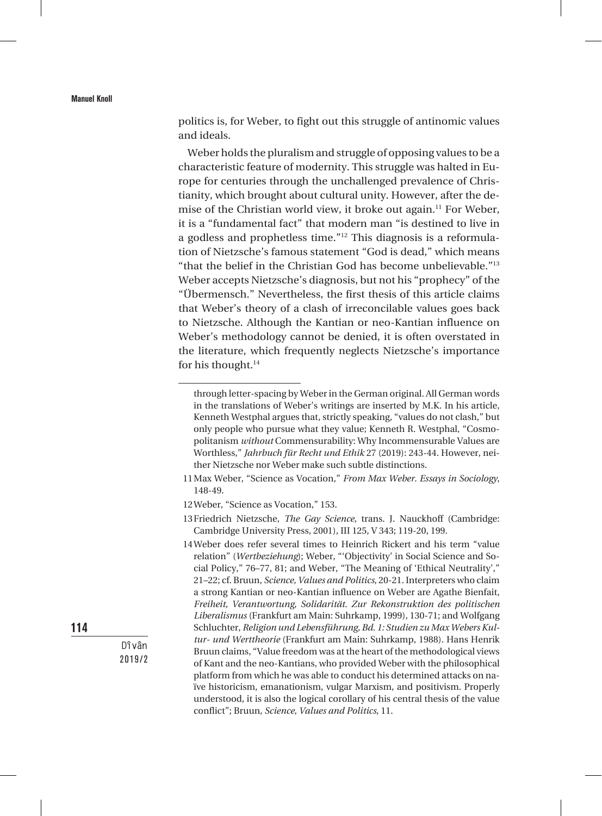politics is, for Weber, to fight out this struggle of antinomic values and ideals.

Weber holds the pluralism and struggle of opposing values to be a characteristic feature of modernity. This struggle was halted in Europe for centuries through the unchallenged prevalence of Christianity, which brought about cultural unity. However, after the demise of the Christian world view, it broke out again.<sup>11</sup> For Weber, it is a "fundamental fact" that modern man "is destined to live in a godless and prophetless time."12 This diagnosis is a reformulation of Nietzsche's famous statement "God is dead," which means "that the belief in the Christian God has become unbelievable."13 Weber accepts Nietzsche's diagnosis, but not his "prophecy" of the "Übermensch." Nevertheless, the first thesis of this article claims that Weber's theory of a clash of irreconcilable values goes back to Nietzsche. Although the Kantian or neo-Kantian influence on Weber's methodology cannot be denied, it is often overstated in the literature, which frequently neglects Nietzsche's importance for his thought.<sup>14</sup>

114

through letter-spacing by Weber in the German original. All German words in the translations of Weber's writings are inserted by M.K. In his article, Kenneth Westphal argues that, strictly speaking, "values do not clash," but only people who pursue what they value; Kenneth R. Westphal, "Cosmopolitanism *without* Commensurability: Why Incommensurable Values are Worthless," *Jahrbuch für Recht und Ethik* 27 (2019): 243-44. However, neither Nietzsche nor Weber make such subtle distinctions.

<sup>11</sup>Max Weber, "Science as Vocation," *From Max Weber. Essays in Sociology*, 148-49.

<sup>12</sup>Weber, "Science as Vocation," 153.

<sup>13</sup>Friedrich Nietzsche, *The Gay Science*, trans. J. Nauckhoff (Cambridge: Cambridge University Press, 2001), III 125, V 343; 119-20, 199.

<sup>14</sup>Weber does refer several times to Heinrich Rickert and his term "value relation" (*Wertbeziehung*); Weber, "'Objectivity' in Social Science and Social Policy," 76–77, 81; and Weber, "The Meaning of 'Ethical Neutrality'," 21–22; cf. Bruun, *Science, Values and Politics*, 20-21. Interpreters who claim a strong Kantian or neo-Kantian influence on Weber are Agathe Bienfait, *Freiheit, Verantwortung, Solidarität. Zur Rekonstruktion des politischen Liberalismus* (Frankfurt am Main: Suhrkamp, 1999), 130-71; and Wolfgang Schluchter, *Religion und Lebensführung, Bd. 1: Studien zu Max Webers Kultur- und Werttheorie* (Frankfurt am Main: Suhrkamp, 1988). Hans Henrik Bruun claims, "Value freedom was at the heart of the methodological views of Kant and the neo-Kantians, who provided Weber with the philosophical platform from which he was able to conduct his determined attacks on naïve historicism, emanationism, vulgar Marxism, and positivism. Properly understood, it is also the logical corollary of his central thesis of the value conflict"; Bruun, *Science, Values and Politics*, 11.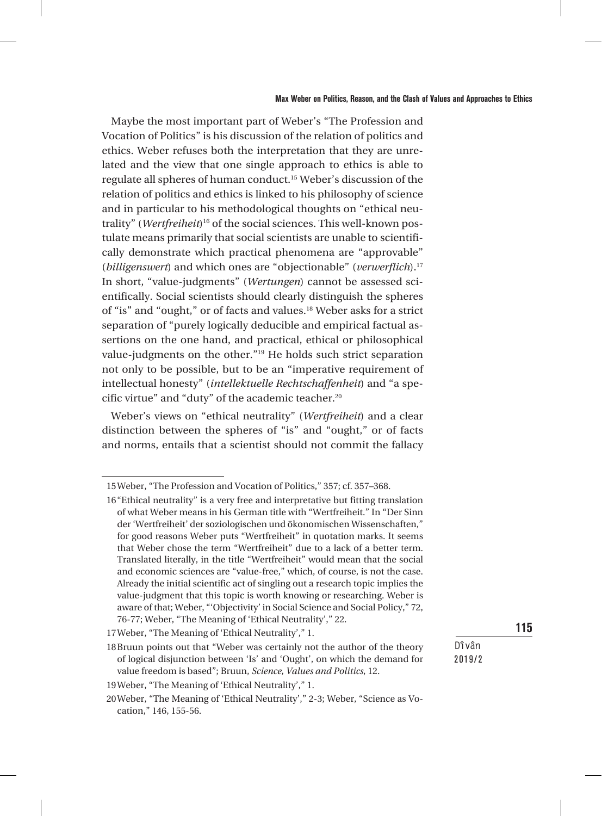#### Max Weber on Politics, Reason, and the Clash of Values and Approaches to Ethics

Maybe the most important part of Weber's "The Profession and Vocation of Politics" is his discussion of the relation of politics and ethics. Weber refuses both the interpretation that they are unrelated and the view that one single approach to ethics is able to regulate all spheres of human conduct.15 Weber's discussion of the relation of politics and ethics is linked to his philosophy of science and in particular to his methodological thoughts on "ethical neutrality" (*Wertfreiheit*)16 of the social sciences. This well-known postulate means primarily that social scientists are unable to scientifically demonstrate which practical phenomena are "approvable" (*billigenswert*) and which ones are "objectionable" (*verwerflich*).<sup>17</sup> In short, "value-judgments" (*Wertungen*) cannot be assessed scientifically. Social scientists should clearly distinguish the spheres of "is" and "ought," or of facts and values.18 Weber asks for a strict separation of "purely logically deducible and empirical factual assertions on the one hand, and practical, ethical or philosophical value-judgments on the other."19 He holds such strict separation not only to be possible, but to be an "imperative requirement of intellectual honesty" (*intellektuelle Rechtschaffenheit*) and "a specific virtue" and "duty" of the academic teacher.<sup>20</sup>

Weber's views on "ethical neutrality" (*Wertfreiheit*) and a clear distinction between the spheres of "is" and "ought," or of facts and norms, entails that a scientist should not commit the fallacy

## 115

<sup>15</sup>Weber, "The Profession and Vocation of Politics," 357; cf. 357–368.

<sup>16&</sup>quot;Ethical neutrality" is a very free and interpretative but fitting translation of what Weber means in his German title with "Wertfreiheit." In "Der Sinn der 'Wertfreiheit' der soziologischen und ökonomischen Wissenschaften," for good reasons Weber puts "Wertfreiheit" in quotation marks. It seems that Weber chose the term "Wertfreiheit" due to a lack of a better term. Translated literally, in the title "Wertfreiheit" would mean that the social and economic sciences are "value-free," which, of course, is not the case. Already the initial scientific act of singling out a research topic implies the value-judgment that this topic is worth knowing or researching. Weber is aware of that; Weber, "'Objectivity' in Social Science and Social Policy," 72, 76-77; Weber, "The Meaning of 'Ethical Neutrality'," 22.

<sup>17</sup>Weber, "The Meaning of 'Ethical Neutrality'," 1.

<sup>18</sup>Bruun points out that "Weber was certainly not the author of the theory of logical disjunction between 'Is' and 'Ought', on which the demand for value freedom is based"; Bruun, *Science, Values and Politics*, 12.

<sup>19</sup>Weber, "The Meaning of 'Ethical Neutrality'," 1.

<sup>20</sup>Weber, "The Meaning of 'Ethical Neutrality'," 2-3; Weber, "Science as Vocation," 146, 155-56.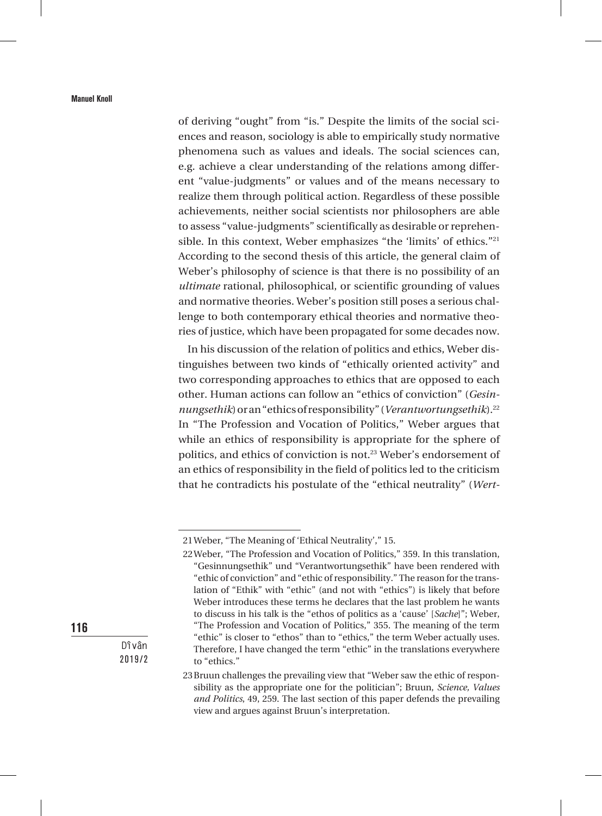of deriving "ought" from "is." Despite the limits of the social sciences and reason, sociology is able to empirically study normative phenomena such as values and ideals. The social sciences can, e.g. achieve a clear understanding of the relations among different "value-judgments" or values and of the means necessary to realize them through political action. Regardless of these possible achievements, neither social scientists nor philosophers are able to assess "value-judgments" scientifically as desirable or reprehensible. In this context, Weber emphasizes "the 'limits' of ethics."21 According to the second thesis of this article, the general claim of Weber's philosophy of science is that there is no possibility of an *ultimate* rational, philosophical, or scientific grounding of values and normative theories. Weber's position still poses a serious challenge to both contemporary ethical theories and normative theories of justice, which have been propagated for some decades now.

In his discussion of the relation of politics and ethics, Weber distinguishes between two kinds of "ethically oriented activity" and two corresponding approaches to ethics that are opposed to each other. Human actions can follow an "ethics of conviction" (*Gesinnungsethik*)or an "ethics of responsibility" (*Verantwortungsethik*).22 In "The Profession and Vocation of Politics," Weber argues that while an ethics of responsibility is appropriate for the sphere of politics, and ethics of conviction is not.<sup>23</sup> Weber's endorsement of an ethics of responsibility in the field of politics led to the criticism that he contradicts his postulate of the "ethical neutrality" (*Wert-*

116

<sup>21</sup>Weber, "The Meaning of 'Ethical Neutrality'," 15.

<sup>22</sup>Weber, "The Profession and Vocation of Politics," 359. In this translation, "Gesinnungsethik" und "Verantwortungsethik" have been rendered with "ethic of conviction" and "ethic of responsibility." The reason for the translation of "Ethik" with "ethic" (and not with "ethics") is likely that before Weber introduces these terms he declares that the last problem he wants to discuss in his talk is the "ethos of politics as a 'cause' [*Sache*]"; Weber, "The Profession and Vocation of Politics," 355. The meaning of the term "ethic" is closer to "ethos" than to "ethics," the term Weber actually uses. Therefore, I have changed the term "ethic" in the translations everywhere to "ethics."

<sup>23</sup>Bruun challenges the prevailing view that "Weber saw the ethic of responsibility as the appropriate one for the politician"; Bruun, *Science, Values and Politics*, 49, 259. The last section of this paper defends the prevailing view and argues against Bruun's interpretation.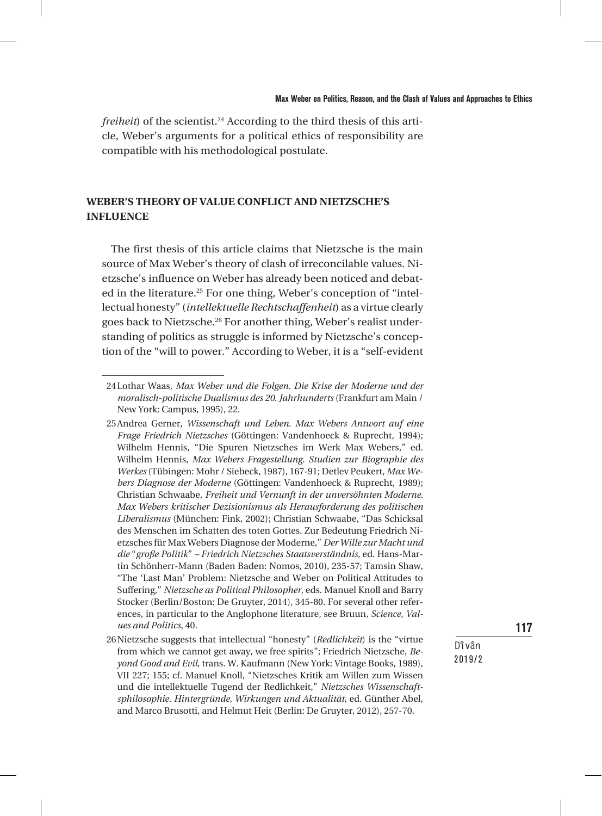*freiheit*) of the scientist.<sup>24</sup> According to the third thesis of this article, Weber's arguments for a political ethics of responsibility are compatible with his methodological postulate.

## **WEBER'S THEORY OF VALUE CONFLICT AND NIETZSCHE'S INFLUENCE**

The first thesis of this article claims that Nietzsche is the main source of Max Weber's theory of clash of irreconcilable values. Nietzsche's influence on Weber has already been noticed and debated in the literature.<sup>25</sup> For one thing, Weber's conception of "intellectual honesty" (*intellektuelle Rechtschaffenheit*) as a virtue clearly goes back to Nietzsche.<sup>26</sup> For another thing, Weber's realist understanding of politics as struggle is informed by Nietzsche's conception of the "will to power." According to Weber, it is a "self-evident

**Dîvân** 2019/2 117

<sup>24</sup>Lothar Waas, *Max Weber und die Folgen. Die Krise der Moderne und der moralisch-politische Dualismus des 20. Jahrhunderts* (Frankfurt am Main / New York: Campus, 1995), 22.

<sup>25</sup>Andrea Gerner, *Wissenschaft und Leben. Max Webers Antwort auf eine Frage Friedrich Nietzsches* (Göttingen: Vandenhoeck & Ruprecht, 1994); Wilhelm Hennis, "Die Spuren Nietzsches im Werk Max Webers," ed. Wilhelm Hennis, *Max Webers Fragestellung. Studien zur Biographie des Werkes* (Tübingen: Mohr / Siebeck, 1987), 167-91; Detlev Peukert, *Max Webers Diagnose der Moderne* (Göttingen: Vandenhoeck & Ruprecht, 1989); Christian Schwaabe, *Freiheit und Vernunft in der unversöhnten Moderne. Max Webers kritischer Dezisionismus als Herausforderung des politischen Liberalismus* (München: Fink, 2002); Christian Schwaabe, "Das Schicksal des Menschen im Schatten des toten Gottes. Zur Bedeutung Friedrich Nietzsches für Max Webers Diagnose der Moderne," *Der Wille zur Macht und die* "*große Politik*" *– Friedrich Nietzsches Staatsverständnis*, ed. Hans-Martin Schönherr-Mann (Baden Baden: Nomos, 2010), 235-57; Tamsin Shaw, "The 'Last Man' Problem: Nietzsche and Weber on Political Attitudes to Suffering," *Nietzsche as Political Philosopher*, eds. Manuel Knoll and Barry Stocker (Berlin/Boston: De Gruyter, 2014), 345-80. For several other references, in particular to the Anglophone literature, see Bruun, *Science, Values and Politics*, 40.

<sup>26</sup>Nietzsche suggests that intellectual "honesty" (*Redlichkeit*) is the "virtue from which we cannot get away, we free spirits"; Friedrich Nietzsche, *Beyond Good and Evil*, trans. W. Kaufmann (New York: Vintage Books, 1989), VII 227; 155; cf. Manuel Knoll, "Nietzsches Kritik am Willen zum Wissen und die intellektuelle Tugend der Redlichkeit," *Nietzsches Wissenschaftsphilosophie. Hintergründe, Wirkungen und Aktualität*, ed. Günther Abel, and Marco Brusotti, and Helmut Heit (Berlin: De Gruyter, 2012), 257-70.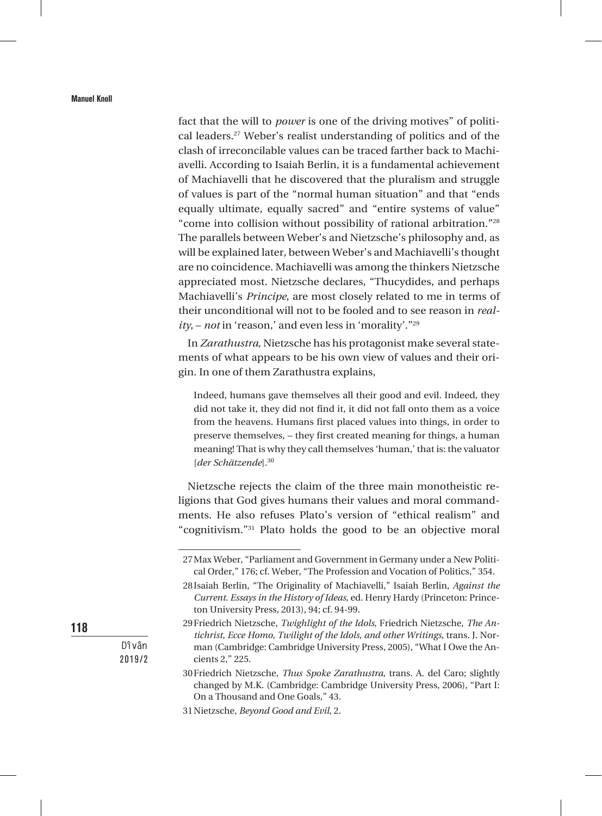fact that the will to *power* is one of the driving motives" of political leaders.27 Weber's realist understanding of politics and of the clash of irreconcilable values can be traced farther back to Machiavelli. According to Isaiah Berlin, it is a fundamental achievement of Machiavelli that he discovered that the pluralism and struggle of values is part of the "normal human situation" and that "ends equally ultimate, equally sacred" and "entire systems of value" "come into collision without possibility of rational arbitration."28 The parallels between Weber's and Nietzsche's philosophy and, as will be explained later, between Weber's and Machiavelli's thought are no coincidence. Machiavelli was among the thinkers Nietzsche appreciated most. Nietzsche declares, "Thucydides, and perhaps Machiavelli's *Principe*, are most closely related to me in terms of their unconditional will not to be fooled and to see reason in *reality*, – *not* in 'reason,' and even less in 'morality'."29

In *Zarathustra*, Nietzsche has his protagonist make several statements of what appears to be his own view of values and their origin. In one of them Zarathustra explains,

Indeed, humans gave themselves all their good and evil. Indeed, they did not take it, they did not find it, it did not fall onto them as a voice from the heavens. Humans first placed values into things, in order to preserve themselves, – they first created meaning for things, a human meaning! That is why they call themselves 'human,' that is: the valuator [*der Schätzende*].30

Nietzsche rejects the claim of the three main monotheistic religions that God gives humans their values and moral commandments. He also refuses Plato's version of "ethical realism" and "cognitivism."31 Plato holds the good to be an objective moral

118

<sup>27</sup>Max Weber, "Parliament and Government in Germany under a New Political Order," 176; cf. Weber, "The Profession and Vocation of Politics," 354.

<sup>28</sup>Isaiah Berlin, "The Originality of Machiavelli," Isaiah Berlin, *Against the Current*. *Essays in the History of Ideas*, ed. Henry Hardy (Princeton: Princeton University Press, 2013), 94; cf. 94-99.

<sup>29</sup>Friedrich Nietzsche, *Twighlight of the Idols*, Friedrich Nietzsche, *The Antichrist, Ecce Homo, Twilight of the Idols, and other Writings,* trans. J. Norman (Cambridge: Cambridge University Press, 2005), "What I Owe the Ancients 2," 225.

<sup>30</sup>Friedrich Nietzsche, *Thus Spoke Zarathustra*, trans. A. del Caro; slightly changed by M.K. (Cambridge: Cambridge University Press, 2006), "Part I: On a Thousand and One Goals," 43.

<sup>31</sup>Nietzsche, *Beyond Good and Evil*, 2.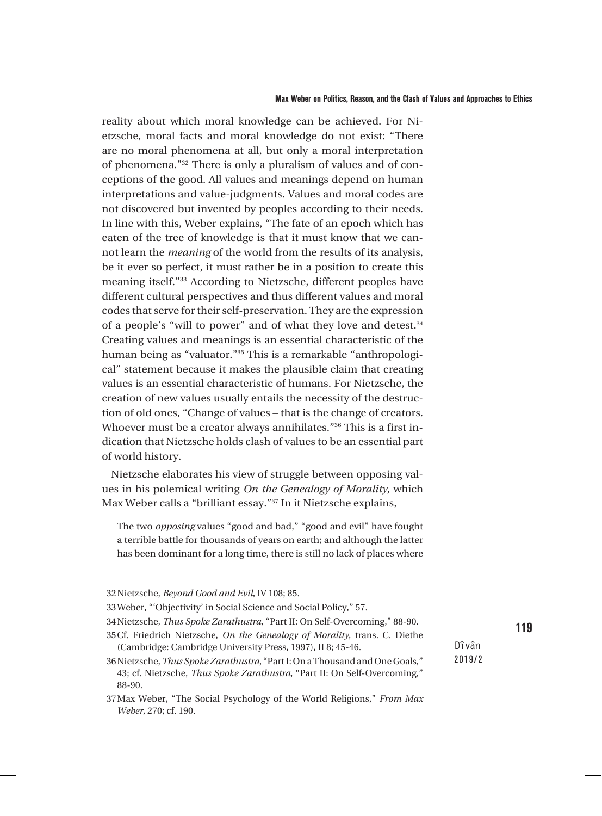reality about which moral knowledge can be achieved. For Nietzsche, moral facts and moral knowledge do not exist: "There are no moral phenomena at all, but only a moral interpretation of phenomena."32 There is only a pluralism of values and of conceptions of the good. All values and meanings depend on human interpretations and value-judgments. Values and moral codes are not discovered but invented by peoples according to their needs. In line with this, Weber explains, "The fate of an epoch which has eaten of the tree of knowledge is that it must know that we cannot learn the *meaning* of the world from the results of its analysis, be it ever so perfect, it must rather be in a position to create this meaning itself."33 According to Nietzsche, different peoples have different cultural perspectives and thus different values and moral codes that serve for their self-preservation. They are the expression of a people's "will to power" and of what they love and detest.<sup>34</sup> Creating values and meanings is an essential characteristic of the human being as "valuator."35 This is a remarkable "anthropological" statement because it makes the plausible claim that creating values is an essential characteristic of humans. For Nietzsche, the creation of new values usually entails the necessity of the destruction of old ones, "Change of values – that is the change of creators. Whoever must be a creator always annihilates."36 This is a first indication that Nietzsche holds clash of values to be an essential part of world history.

Nietzsche elaborates his view of struggle between opposing values in his polemical writing *On the Genealogy of Morality*, which Max Weber calls a "brilliant essay."37 In it Nietzsche explains,

The two *opposing* values "good and bad," "good and evil" have fought a terrible battle for thousands of years on earth; and although the latter has been dominant for a long time, there is still no lack of places where

**Dîvân**

119

2019/2

<sup>32</sup>Nietzsche, *Beyond Good and Evil*, IV 108; 85.

<sup>33</sup>Weber, "'Objectivity' in Social Science and Social Policy," 57.

<sup>34</sup>Nietzsche, *Thus Spoke Zarathustra*, "Part II: On Self-Overcoming," 88-90.

<sup>35</sup>Cf. Friedrich Nietzsche, *On the Genealogy of Morality*, trans. C. Diethe (Cambridge: Cambridge University Press, 1997), II 8; 45-46.

<sup>36</sup>Nietzsche, *Thus Spoke Zarathustra*, "Part I: On a Thousand and One Goals," 43; cf. Nietzsche, *Thus Spoke Zarathustra*, "Part II: On Self-Overcoming," 88-90.

<sup>37</sup>Max Weber, "The Social Psychology of the World Religions," *From Max Weber*, 270; cf. 190.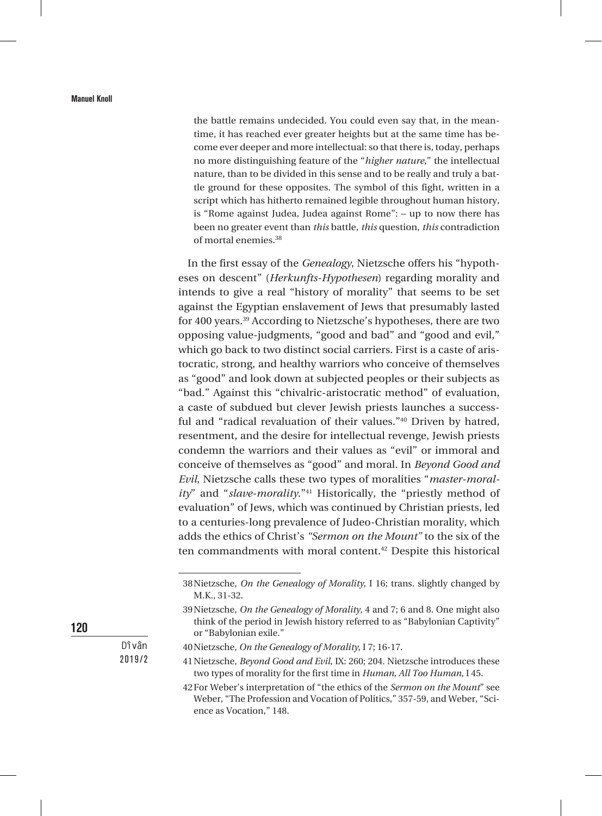the battle remains undecided. You could even say that, in the meantime, it has reached ever greater heights but at the same time has become ever deeper and more intellectual: so that there is, today, perhaps no more distinguishing feature of the "*higher nature*," the intellectual nature, than to be divided in this sense and to be really and truly a battle ground for these opposites. The symbol of this fight, written in a script which has hitherto remained legible throughout human history, is "Rome against Judea, Judea against Rome": – up to now there has been no greater event than *this* battle, *this* question, *this* contradiction of mortal enemies.38

In the first essay of the *Genealogy*, Nietzsche offers his "hypotheses on descent" (*Herkunfts-Hypothesen*) regarding morality and intends to give a real "history of morality" that seems to be set against the Egyptian enslavement of Jews that presumably lasted for 400 years.39 According to Nietzsche's hypotheses, there are two opposing value-judgments, "good and bad" and "good and evil," which go back to two distinct social carriers. First is a caste of aristocratic, strong, and healthy warriors who conceive of themselves as "good" and look down at subjected peoples or their subjects as "bad." Against this "chivalric-aristocratic method" of evaluation, a caste of subdued but clever Jewish priests launches a successful and "radical revaluation of their values."40 Driven by hatred, resentment, and the desire for intellectual revenge, Jewish priests condemn the warriors and their values as "evil" or immoral and conceive of themselves as "good" and moral. In *Beyond Good and Evil*, Nietzsche calls these two types of moralities "*master-morality*" and "*slave-morality*."41 Historically, the "priestly method of evaluation" of Jews, which was continued by Christian priests, led to a centuries-long prevalence of Judeo-Christian morality, which adds the ethics of Christ's *"Sermon on the Mount"* to the six of the ten commandments with moral content.<sup>42</sup> Despite this historical

120

<sup>38</sup>Nietzsche, *On the Genealogy of Morality*, I 16; trans. slightly changed by M.K., 31-32.

<sup>39</sup>Nietzsche, *On the Genealogy of Morality*, 4 and 7; 6 and 8. One might also think of the period in Jewish history referred to as "Babylonian Captivity" or "Babylonian exile."

<sup>40</sup>Nietzsche, *On the Genealogy of Morality*, I 7; 16-17.

<sup>41</sup>Nietzsche, *Beyond Good and Evil*, IX: 260; 204. Nietzsche introduces these two types of morality for the first time in *Human, All Too Human*, I 45.

<sup>42</sup>For Weber's interpretation of "the ethics of the *Sermon on the Mount*" see Weber, "The Profession and Vocation of Politics," 357-59, and Weber, "Science as Vocation," 148.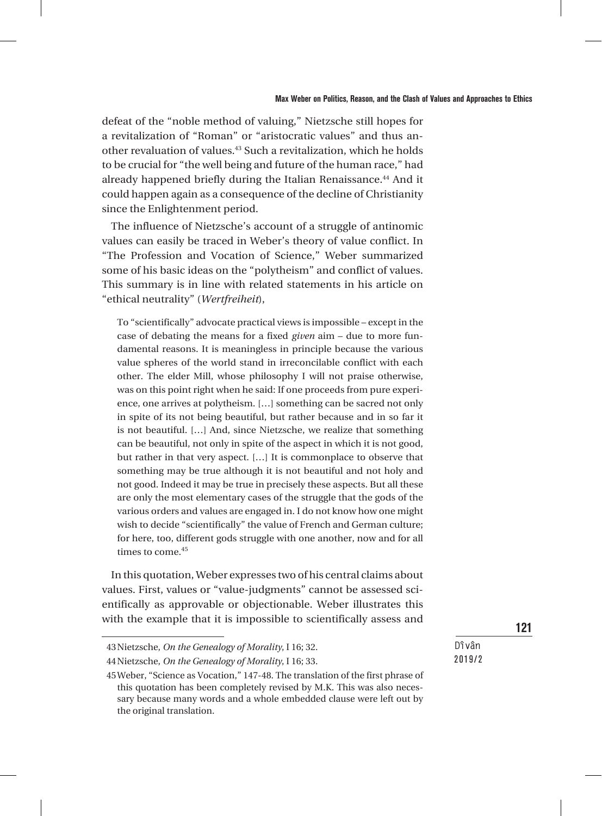defeat of the "noble method of valuing," Nietzsche still hopes for a revitalization of "Roman" or "aristocratic values" and thus another revaluation of values.<sup>43</sup> Such a revitalization, which he holds to be crucial for "the well being and future of the human race," had already happened briefly during the Italian Renaissance.<sup>44</sup> And it could happen again as a consequence of the decline of Christianity since the Enlightenment period.

The influence of Nietzsche's account of a struggle of antinomic values can easily be traced in Weber's theory of value conflict. In "The Profession and Vocation of Science," Weber summarized some of his basic ideas on the "polytheism" and conflict of values. This summary is in line with related statements in his article on "ethical neutrality" (*Wertfreiheit*),

To "scientifically" advocate practical views is impossible – except in the case of debating the means for a fixed *given* aim – due to more fundamental reasons. It is meaningless in principle because the various value spheres of the world stand in irreconcilable conflict with each other. The elder Mill, whose philosophy I will not praise otherwise, was on this point right when he said: If one proceeds from pure experience, one arrives at polytheism. […] something can be sacred not only in spite of its not being beautiful, but rather because and in so far it is not beautiful. […] And, since Nietzsche, we realize that something can be beautiful, not only in spite of the aspect in which it is not good, but rather in that very aspect. […] It is commonplace to observe that something may be true although it is not beautiful and not holy and not good. Indeed it may be true in precisely these aspects. But all these are only the most elementary cases of the struggle that the gods of the various orders and values are engaged in. I do not know how one might wish to decide "scientifically" the value of French and German culture; for here, too, different gods struggle with one another, now and for all times to come.<sup>45</sup>

In this quotation, Weber expresses two of his central claims about values. First, values or "value-judgments" cannot be assessed scientifically as approvable or objectionable. Weber illustrates this with the example that it is impossible to scientifically assess and

121

<sup>43</sup>Nietzsche, *On the Genealogy of Morality*, I 16; 32.

<sup>44</sup>Nietzsche, *On the Genealogy of Morality*, I 16; 33.

<sup>45</sup>Weber, "Science as Vocation," 147-48. The translation of the first phrase of this quotation has been completely revised by M.K. This was also necessary because many words and a whole embedded clause were left out by the original translation.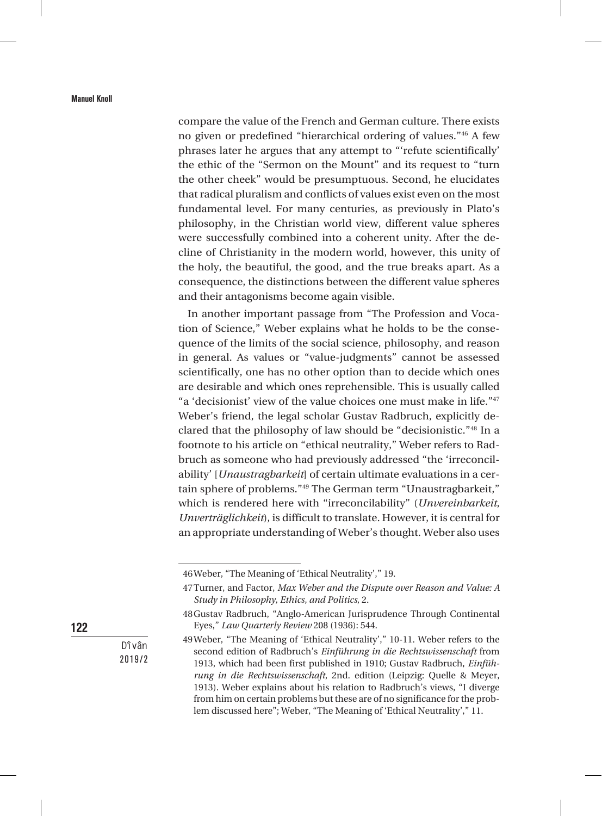compare the value of the French and German culture. There exists no given or predefined "hierarchical ordering of values."46 A few phrases later he argues that any attempt to "'refute scientifically' the ethic of the "Sermon on the Mount" and its request to "turn the other cheek" would be presumptuous. Second, he elucidates that radical pluralism and conflicts of values exist even on the most fundamental level. For many centuries, as previously in Plato's philosophy, in the Christian world view, different value spheres were successfully combined into a coherent unity. After the decline of Christianity in the modern world, however, this unity of the holy, the beautiful, the good, and the true breaks apart. As a consequence, the distinctions between the different value spheres and their antagonisms become again visible.

In another important passage from "The Profession and Vocation of Science," Weber explains what he holds to be the consequence of the limits of the social science, philosophy, and reason in general. As values or "value-judgments" cannot be assessed scientifically, one has no other option than to decide which ones are desirable and which ones reprehensible. This is usually called "a 'decisionist' view of the value choices one must make in life."<sup>47</sup> Weber's friend, the legal scholar Gustav Radbruch, explicitly declared that the philosophy of law should be "decisionistic."48 In a footnote to his article on "ethical neutrality," Weber refers to Radbruch as someone who had previously addressed "the 'irreconcilability' [*Unaustragbarkeit*] of certain ultimate evaluations in a certain sphere of problems."49 The German term "Unaustragbarkeit," which is rendered here with "irreconcilability" (*Unvereinbarkeit*, *Unverträglichkeit*), is difficult to translate. However, it is central for an appropriate understanding of Weber's thought. Weber also uses

122

<sup>46</sup>Weber, "The Meaning of 'Ethical Neutrality'," 19.

<sup>47</sup>Turner, and Factor, *Max Weber and the Dispute over Reason and Value: A Study in Philosophy, Ethics, and Politics*, 2.

<sup>48</sup>Gustav Radbruch, "Anglo-American Jurisprudence Through Continental Eyes," *Law Quarterly Review* 208 (1936): 544.

<sup>49</sup>Weber, "The Meaning of 'Ethical Neutrality'," 10-11. Weber refers to the second edition of Radbruch's *Einführung in die Rechtswissenschaft* from 1913, which had been first published in 1910; Gustav Radbruch, *Einführung in die Rechtswissenschaft*, 2nd. edition (Leipzig: Quelle & Meyer, 1913). Weber explains about his relation to Radbruch's views, "I diverge from him on certain problems but these are of no significance for the problem discussed here"; Weber, "The Meaning of 'Ethical Neutrality'," 11.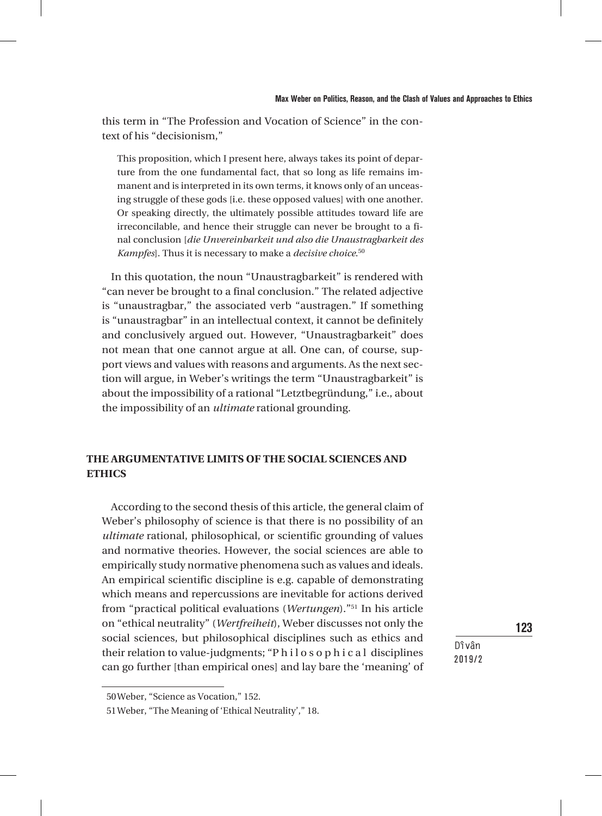this term in "The Profession and Vocation of Science" in the context of his "decisionism,"

This proposition, which I present here, always takes its point of departure from the one fundamental fact, that so long as life remains immanent and is interpreted in its own terms, it knows only of an unceasing struggle of these gods [i.e. these opposed values] with one another. Or speaking directly, the ultimately possible attitudes toward life are irreconcilable, and hence their struggle can never be brought to a final conclusion [*die Unvereinbarkeit und also die Unaustragbarkeit des Kampfes*]. Thus it is necessary to make a *decisive choice*. 50

In this quotation, the noun "Unaustragbarkeit" is rendered with "can never be brought to a final conclusion." The related adjective is "unaustragbar," the associated verb "austragen." If something is "unaustragbar" in an intellectual context, it cannot be definitely and conclusively argued out. However, "Unaustragbarkeit" does not mean that one cannot argue at all. One can, of course, support views and values with reasons and arguments. As the next section will argue, in Weber's writings the term "Unaustragbarkeit" is about the impossibility of a rational "Letztbegründung," i.e., about the impossibility of an *ultimate* rational grounding.

## **THE ARGUMENTATIVE LIMITS OF THE SOCIAL SCIENCES AND ETHICS**

According to the second thesis of this article, the general claim of Weber's philosophy of science is that there is no possibility of an *ultimate* rational, philosophical, or scientific grounding of values and normative theories. However, the social sciences are able to empirically study normative phenomena such as values and ideals. An empirical scientific discipline is e.g. capable of demonstrating which means and repercussions are inevitable for actions derived from "practical political evaluations (*Wertungen*)."51 In his article on "ethical neutrality" (*Wertfreiheit*), Weber discusses not only the social sciences, but philosophical disciplines such as ethics and their relation to value-judgments; "P h i l o s o p h i c a l disciplines can go further [than empirical ones] and lay bare the 'meaning' of

123

<sup>50</sup>Weber, "Science as Vocation," 152.

<sup>51</sup>Weber, "The Meaning of 'Ethical Neutrality'," 18.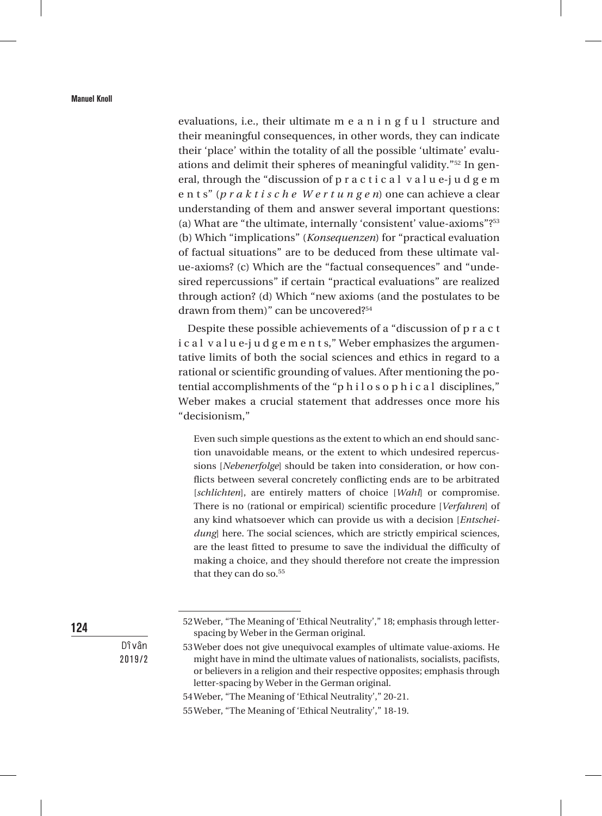evaluations, i.e., their ultimate m e a n i n g f u l structure and their meaningful consequences, in other words, they can indicate their 'place' within the totality of all the possible 'ultimate' evaluations and delimit their spheres of meaningful validity."52 In general, through the "discussion of p r a c t i c a l v a l u e-j u d g e m e n t s" (*p r a k t i s c h e W e r t u n g e n*) one can achieve a clear understanding of them and answer several important questions: (a) What are "the ultimate, internally 'consistent' value-axioms"?53 (b) Which "implications" (*Konsequenzen*) for "practical evaluation of factual situations" are to be deduced from these ultimate value-axioms? (c) Which are the "factual consequences" and "undesired repercussions" if certain "practical evaluations" are realized through action? (d) Which "new axioms (and the postulates to be drawn from them)" can be uncovered?54

Despite these possible achievements of a "discussion of p r a c t i c a l v a l u e-j u d g e m e n t s," Weber emphasizes the argumentative limits of both the social sciences and ethics in regard to a rational or scientific grounding of values. After mentioning the potential accomplishments of the "p h i l o s o p h i c a l disciplines," Weber makes a crucial statement that addresses once more his "decisionism,"

Even such simple questions as the extent to which an end should sanction unavoidable means, or the extent to which undesired repercussions [*Nebenerfolge*] should be taken into consideration, or how conflicts between several concretely conflicting ends are to be arbitrated [*schlichten*], are entirely matters of choice [*Wahl*] or compromise*.*  There is no (rational or empirical) scientific procedure [*Verfahren*] of any kind whatsoever which can provide us with a decision [*Entscheidung*] here. The social sciences, which are strictly empirical sciences, are the least fitted to presume to save the individual the difficulty of making a choice, and they should therefore not create the impression that they can do so.<sup>55</sup>

52Weber, "The Meaning of 'Ethical Neutrality'," 18; emphasis through letter-

- spacing by Weber in the German original. 53Weber does not give unequivocal examples of ultimate value-axioms. He might have in mind the ultimate values of nationalists, socialists, pacifists,
- or believers in a religion and their respective opposites; emphasis through letter-spacing by Weber in the German original.
- 54Weber, "The Meaning of 'Ethical Neutrality'," 20-21.
- 55Weber, "The Meaning of 'Ethical Neutrality'," 18-19.

124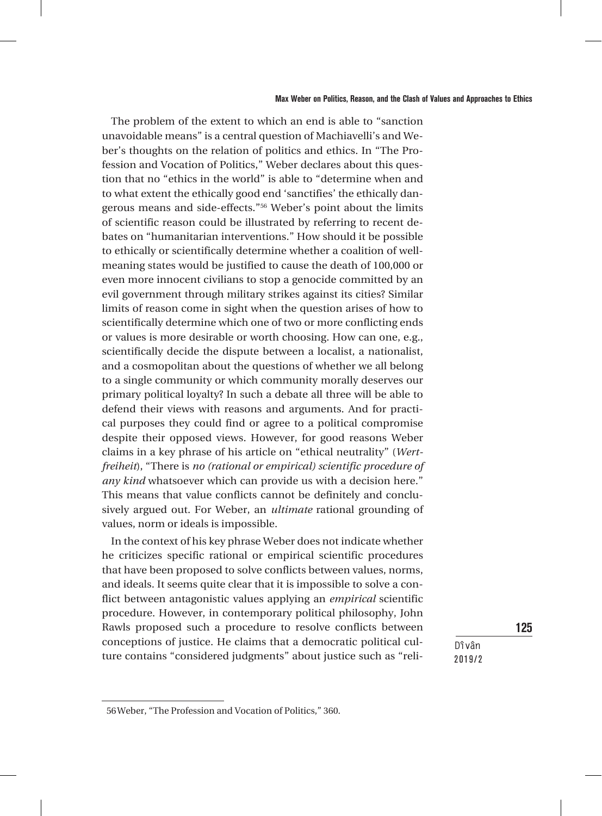The problem of the extent to which an end is able to "sanction unavoidable means" is a central question of Machiavelli's and Weber's thoughts on the relation of politics and ethics. In "The Profession and Vocation of Politics," Weber declares about this question that no "ethics in the world" is able to "determine when and to what extent the ethically good end 'sanctifies' the ethically dangerous means and side-effects."56 Weber's point about the limits of scientific reason could be illustrated by referring to recent debates on "humanitarian interventions." How should it be possible to ethically or scientifically determine whether a coalition of wellmeaning states would be justified to cause the death of 100,000 or even more innocent civilians to stop a genocide committed by an evil government through military strikes against its cities? Similar limits of reason come in sight when the question arises of how to scientifically determine which one of two or more conflicting ends or values is more desirable or worth choosing. How can one, e.g., scientifically decide the dispute between a localist, a nationalist, and a cosmopolitan about the questions of whether we all belong to a single community or which community morally deserves our primary political loyalty? In such a debate all three will be able to defend their views with reasons and arguments. And for practical purposes they could find or agree to a political compromise despite their opposed views. However, for good reasons Weber claims in a key phrase of his article on "ethical neutrality" (*Wertfreiheit*), "There is *no (rational or empirical) scientific procedure of any kind* whatsoever which can provide us with a decision here." This means that value conflicts cannot be definitely and conclusively argued out. For Weber, an *ultimate* rational grounding of values, norm or ideals is impossible.

In the context of his key phrase Weber does not indicate whether he criticizes specific rational or empirical scientific procedures that have been proposed to solve conflicts between values, norms, and ideals. It seems quite clear that it is impossible to solve a conflict between antagonistic values applying an *empirical* scientific procedure. However, in contemporary political philosophy, John Rawls proposed such a procedure to resolve conflicts between conceptions of justice. He claims that a democratic political culture contains "considered judgments" about justice such as "reli-

**Dîvân** 2019/2 125

<sup>56</sup>Weber, "The Profession and Vocation of Politics," 360.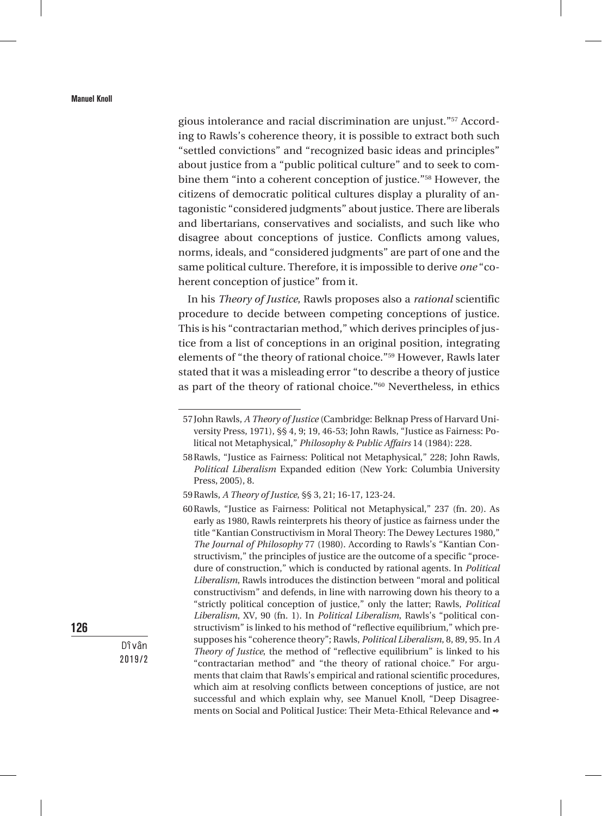gious intolerance and racial discrimination are unjust."57 According to Rawls's coherence theory, it is possible to extract both such "settled convictions" and "recognized basic ideas and principles" about justice from a "public political culture" and to seek to combine them "into a coherent conception of justice."58 However, the citizens of democratic political cultures display a plurality of antagonistic "considered judgments" about justice. There are liberals and libertarians, conservatives and socialists, and such like who disagree about conceptions of justice. Conflicts among values, norms, ideals, and "considered judgments" are part of one and the same political culture. Therefore, it is impossible to derive *one* "coherent conception of justice" from it.

In his *Theory of Justice*, Rawls proposes also a *rational* scientific procedure to decide between competing conceptions of justice. This is his "contractarian method," which derives principles of justice from a list of conceptions in an original position, integrating elements of "the theory of rational choice."59 However, Rawls later stated that it was a misleading error "to describe a theory of justice as part of the theory of rational choice."60 Nevertheless, in ethics

126

<sup>57</sup>John Rawls, *A Theory of Justice* (Cambridge: Belknap Press of Harvard University Press, 1971), §§ 4, 9; 19, 46-53; John Rawls, "Justice as Fairness: Political not Metaphysical," *Philosophy & Public Affairs* 14 (1984): 228.

<sup>58</sup>Rawls, "Justice as Fairness: Political not Metaphysical," 228; John Rawls, *Political Liberalism* Expanded edition (New York: Columbia University Press, 2005), 8.

<sup>59</sup>Rawls, *A Theory of Justice*, §§ 3, 21; 16-17, 123-24.

<sup>60</sup>Rawls, "Justice as Fairness: Political not Metaphysical," 237 (fn. 20). As early as 1980, Rawls reinterprets his theory of justice as fairness under the title "Kantian Constructivism in Moral Theory: The Dewey Lectures 1980," *The Journal of Philosophy* 77 (1980). According to Rawls's "Kantian Constructivism," the principles of justice are the outcome of a specific "procedure of construction," which is conducted by rational agents. In *Political Liberalism*, Rawls introduces the distinction between "moral and political constructivism" and defends, in line with narrowing down his theory to a "strictly political conception of justice," only the latter; Rawls, *Political Liberalism*, XV, 90 (fn. 1). In *Political Liberalism*, Rawls's "political constructivism" is linked to his method of "reflective equilibrium," which presupposes his "coherence theory"; Rawls, *Political Liberalism*, 8, 89, 95. In *A Theory of Justice*, the method of "reflective equilibrium" is linked to his "contractarian method" and "the theory of rational choice." For arguments that claim that Rawls's empirical and rational scientific procedures, which aim at resolving conflicts between conceptions of justice, are not successful and which explain why, see Manuel Knoll, "Deep Disagreements on Social and Political Justice: Their Meta-Ethical Relevance and  $\bullet$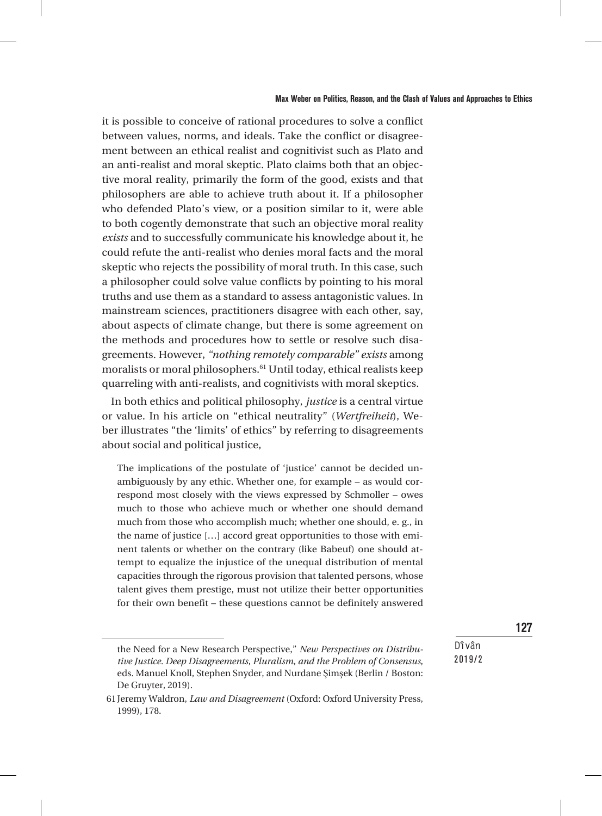it is possible to conceive of rational procedures to solve a conflict between values, norms, and ideals. Take the conflict or disagreement between an ethical realist and cognitivist such as Plato and an anti-realist and moral skeptic. Plato claims both that an objective moral reality, primarily the form of the good, exists and that philosophers are able to achieve truth about it. If a philosopher who defended Plato's view, or a position similar to it, were able to both cogently demonstrate that such an objective moral reality *exists* and to successfully communicate his knowledge about it, he could refute the anti-realist who denies moral facts and the moral skeptic who rejects the possibility of moral truth. In this case, such a philosopher could solve value conflicts by pointing to his moral truths and use them as a standard to assess antagonistic values. In mainstream sciences, practitioners disagree with each other, say, about aspects of climate change, but there is some agreement on the methods and procedures how to settle or resolve such disagreements. However, *"nothing remotely comparable" exists* among moralists or moral philosophers.<sup>61</sup> Until today, ethical realists keep quarreling with anti-realists, and cognitivists with moral skeptics.

In both ethics and political philosophy, *justice* is a central virtue or value. In his article on "ethical neutrality" (*Wertfreiheit*), Weber illustrates "the 'limits' of ethics" by referring to disagreements about social and political justice,

The implications of the postulate of 'justice' cannot be decided unambiguously by any ethic. Whether one, for example – as would correspond most closely with the views expressed by Schmoller – owes much to those who achieve much or whether one should demand much from those who accomplish much; whether one should, e. g., in the name of justice […] accord great opportunities to those with eminent talents or whether on the contrary (like Babeuf) one should attempt to equalize the injustice of the unequal distribution of mental capacities through the rigorous provision that talented persons, whose talent gives them prestige, must not utilize their better opportunities for their own benefit – these questions cannot be definitely answered

127

the Need for a New Research Perspective," *New Perspectives on Distributive Justice. Deep Disagreements, Pluralism, and the Problem of Consensus*, eds. Manuel Knoll, Stephen Snyder, and Nurdane Şimşek (Berlin / Boston: De Gruyter, 2019).

<sup>61</sup>Jeremy Waldron, *Law and Disagreement* (Oxford: Oxford University Press, 1999), 178.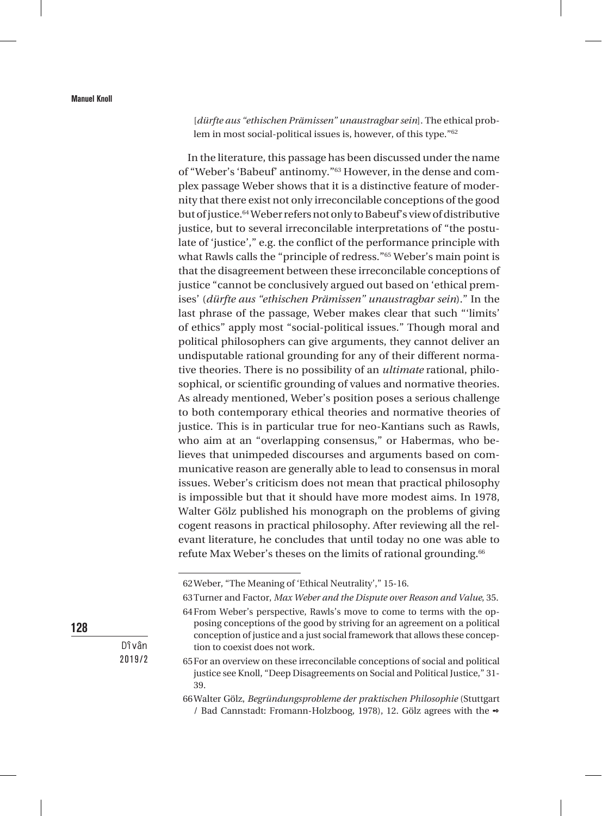[*dürfte aus "ethischen Prämissen" unaustragbar sein*]. The ethical problem in most social-political issues is, however, of this type."62

In the literature, this passage has been discussed under the name of "Weber's 'Babeuf' antinomy."63 However, in the dense and complex passage Weber shows that it is a distinctive feature of modernity that there exist not only irreconcilable conceptions of the good but of justice.64 Weber refers not only to Babeuf's view of distributive justice, but to several irreconcilable interpretations of "the postulate of 'justice'," e.g. the conflict of the performance principle with what Rawls calls the "principle of redress."<sup>65</sup> Weber's main point is that the disagreement between these irreconcilable conceptions of justice "cannot be conclusively argued out based on 'ethical premises' (*dürfte aus "ethischen Prämissen" unaustragbar sein*)." In the last phrase of the passage, Weber makes clear that such "'limits' of ethics" apply most "social-political issues." Though moral and political philosophers can give arguments, they cannot deliver an undisputable rational grounding for any of their different normative theories. There is no possibility of an *ultimate* rational, philosophical, or scientific grounding of values and normative theories. As already mentioned, Weber's position poses a serious challenge to both contemporary ethical theories and normative theories of justice. This is in particular true for neo-Kantians such as Rawls, who aim at an "overlapping consensus," or Habermas, who believes that unimpeded discourses and arguments based on communicative reason are generally able to lead to consensus in moral issues. Weber's criticism does not mean that practical philosophy is impossible but that it should have more modest aims. In 1978, Walter Gölz published his monograph on the problems of giving cogent reasons in practical philosophy. After reviewing all the relevant literature, he concludes that until today no one was able to refute Max Weber's theses on the limits of rational grounding.<sup>66</sup>

128

<sup>62</sup>Weber, "The Meaning of 'Ethical Neutrality'," 15-16.

<sup>63</sup>Turner and Factor, *Max Weber and the Dispute over Reason and Value*, 35. 64From Weber's perspective, Rawls's move to come to terms with the op-

posing conceptions of the good by striving for an agreement on a political conception of justice and a just social framework that allows these conception to coexist does not work.

<sup>65</sup>For an overview on these irreconcilable conceptions of social and political justice see Knoll, "Deep Disagreements on Social and Political Justice," 31- 39.

<sup>66</sup>Walter Gölz, *Begründungsprobleme der praktischen Philosophie* (Stuttgart / Bad Cannstadt: Fromann-Holzboog, 1978), 12. Gölz agrees with the  $\bullet$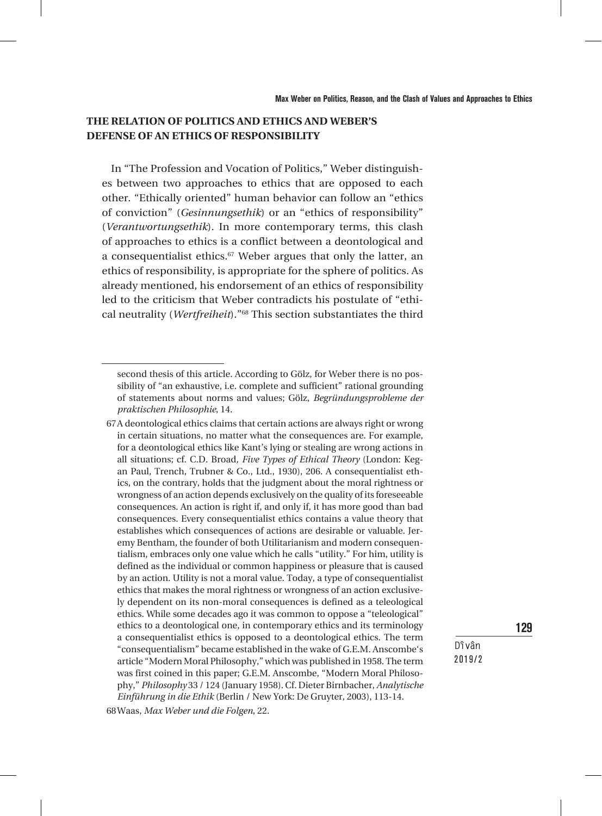## **THE RELATION OF POLITICS AND ETHICS AND WEBER'S DEFENSE OF AN ETHICS OF RESPONSIBILITY**

In "The Profession and Vocation of Politics," Weber distinguishes between two approaches to ethics that are opposed to each other. "Ethically oriented" human behavior can follow an "ethics of conviction" (*Gesinnungsethik*) or an "ethics of responsibility" (*Verantwortungsethik*). In more contemporary terms, this clash of approaches to ethics is a conflict between a deontological and a consequentialist ethics.<sup>67</sup> Weber argues that only the latter, an ethics of responsibility, is appropriate for the sphere of politics. As already mentioned, his endorsement of an ethics of responsibility led to the criticism that Weber contradicts his postulate of "ethical neutrality (*Wertfreiheit*)."68 This section substantiates the third

129

second thesis of this article. According to Gölz, for Weber there is no possibility of "an exhaustive, i.e. complete and sufficient" rational grounding of statements about norms and values; Gölz, *Begründungsprobleme der praktischen Philosophie*, 14.

<sup>67</sup>A deontological ethics claims that certain actions are always right or wrong in certain situations, no matter what the consequences are. For example, for a deontological ethics like Kant's lying or stealing are wrong actions in all situations; cf. C.D. Broad*, Five Types of Ethical Theory* (London: Kegan Paul, Trench, Trubner & Co., Ltd., 1930), 206. A consequentialist ethics, on the contrary, holds that the judgment about the moral rightness or wrongness of an action depends exclusively on the quality of its foreseeable consequences. An action is right if, and only if, it has more good than bad consequences. Every consequentialist ethics contains a value theory that establishes which consequences of actions are desirable or valuable. Jeremy Bentham, the founder of both Utilitarianism and modern consequentialism, embraces only one value which he calls "utility." For him, utility is defined as the individual or common happiness or pleasure that is caused by an action. Utility is not a moral value. Today, a type of consequentialist ethics that makes the moral rightness or wrongness of an action exclusively dependent on its non-moral consequences is defined as a teleological ethics. While some decades ago it was common to oppose a "teleological" ethics to a deontological one, in contemporary ethics and its terminology a consequentialist ethics is opposed to a deontological ethics. The term "consequentialism" became established in the wake of G.E.M. Anscombe's article "Modern Moral Philosophy," which was published in 1958. The term was first coined in this paper; G.E.M. Anscombe, "Modern Moral Philosophy," *Philosophy* 33 / 124 (January 1958). Cf. Dieter Birnbacher, *Analytische Einführung in die Ethik* (Berlin / New York: De Gruyter, 2003), 113-14.

<sup>68</sup>Waas, *Max Weber und die Folgen*, 22.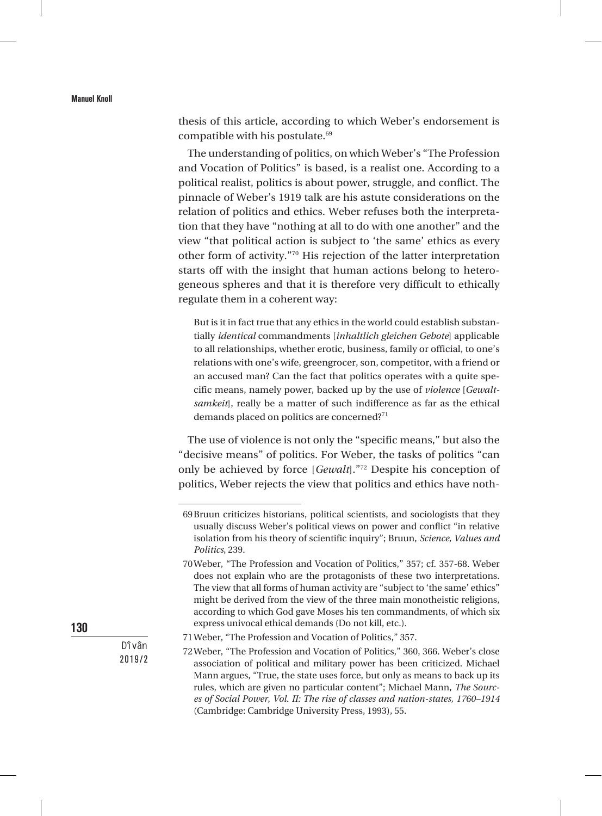thesis of this article, according to which Weber's endorsement is compatible with his postulate.69

The understanding of politics, on which Weber's "The Profession and Vocation of Politics" is based, is a realist one. According to a political realist, politics is about power, struggle, and conflict. The pinnacle of Weber's 1919 talk are his astute considerations on the relation of politics and ethics. Weber refuses both the interpretation that they have "nothing at all to do with one another" and the view "that political action is subject to 'the same' ethics as every other form of activity."70 His rejection of the latter interpretation starts off with the insight that human actions belong to heterogeneous spheres and that it is therefore very difficult to ethically regulate them in a coherent way:

But is it in fact true that any ethics in the world could establish substantially *identical* commandments [*inhaltlich gleichen Gebote*] applicable to all relationships, whether erotic, business, family or official, to one's relations with one's wife, greengrocer, son, competitor, with a friend or an accused man? Can the fact that politics operates with a quite specific means, namely power, backed up by the use of *violence* [*Gewaltsamkeit*], really be a matter of such indifference as far as the ethical demands placed on politics are concerned?<sup>71</sup>

The use of violence is not only the "specific means," but also the "decisive means" of politics. For Weber, the tasks of politics "can only be achieved by force [*Gewalt*]."72 Despite his conception of politics, Weber rejects the view that politics and ethics have noth-

130

<sup>69</sup>Bruun criticizes historians, political scientists, and sociologists that they usually discuss Weber's political views on power and conflict "in relative isolation from his theory of scientific inquiry"; Bruun, *Science, Values and Politics*, 239.

<sup>70</sup>Weber, "The Profession and Vocation of Politics," 357; cf. 357-68. Weber does not explain who are the protagonists of these two interpretations. The view that all forms of human activity are "subject to 'the same' ethics" might be derived from the view of the three main monotheistic religions, according to which God gave Moses his ten commandments, of which six express univocal ethical demands (Do not kill, etc.).

<sup>71</sup>Weber, "The Profession and Vocation of Politics," 357.

<sup>72</sup>Weber, "The Profession and Vocation of Politics," 360, 366. Weber's close association of political and military power has been criticized. Michael Mann argues, "True, the state uses force, but only as means to back up its rules, which are given no particular content"; Michael Mann, *The Sources of Social Power*, *Vol. II: The rise of classes and nation-states, 1760–1914* (Cambridge: Cambridge University Press, 1993), 55.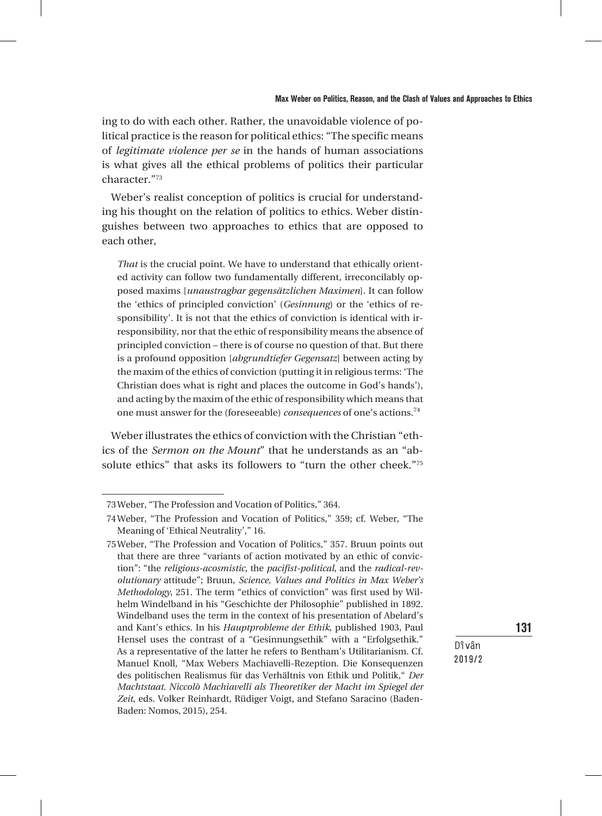ing to do with each other. Rather, the unavoidable violence of political practice is the reason for political ethics: "The specific means of *legitimate violence per se* in the hands of human associations is what gives all the ethical problems of politics their particular character."73

Weber's realist conception of politics is crucial for understanding his thought on the relation of politics to ethics. Weber distinguishes between two approaches to ethics that are opposed to each other,

*That* is the crucial point. We have to understand that ethically oriented activity can follow two fundamentally different, irreconcilably opposed maxims [*unaustragbar gegensätzlichen Maximen*]. It can follow the 'ethics of principled conviction' (*Gesinnung*) or the 'ethics of responsibility'. It is not that the ethics of conviction is identical with irresponsibility, nor that the ethic of responsibility means the absence of principled conviction – there is of course no question of that. But there is a profound opposition [*abgrundtiefer Gegensatz*] between acting by the maxim of the ethics of conviction (putting it in religious terms: 'The Christian does what is right and places the outcome in God's hands'), and acting by the maxim of the ethic of responsibility which means that one must answer for the (foreseeable) *consequences* of one's actions.<sup>74</sup>

Weber illustrates the ethics of conviction with the Christian "ethics of the *Sermon on the Mount*" that he understands as an "absolute ethics" that asks its followers to "turn the other cheek."75

131

<sup>73</sup>Weber, "The Profession and Vocation of Politics," 364.

<sup>74</sup>Weber, "The Profession and Vocation of Politics," 359; cf. Weber, "The Meaning of 'Ethical Neutrality'," 16.

<sup>75</sup>Weber, "The Profession and Vocation of Politics," 357. Bruun points out that there are three "variants of action motivated by an ethic of conviction": "the *religious-acosmistic*, the *pacifist-political*, and the *radical-revolutionary* attitude"; Bruun, *Science, Values and Politics in Max Weber's Methodology*, 251. The term "ethics of conviction" was first used by Wilhelm Windelband in his "Geschichte der Philosophie" published in 1892. Windelband uses the term in the context of his presentation of Abelard's and Kant's ethics. In his *Hauptprobleme der Ethik*, published 1903, Paul Hensel uses the contrast of a "Gesinnungsethik" with a "Erfolgsethik." As a representative of the latter he refers to Bentham's Utilitarianism. Cf. Manuel Knoll, "Max Webers Machiavelli-Rezeption. Die Konsequenzen des politischen Realismus für das Verhältnis von Ethik und Politik," *Der Machtstaat. Niccolò Machiavelli als Theoretiker der Macht im Spiegel der Zeit*, eds. Volker Reinhardt, Rüdiger Voigt, and Stefano Saracino (Baden-Baden: Nomos, 2015), 254.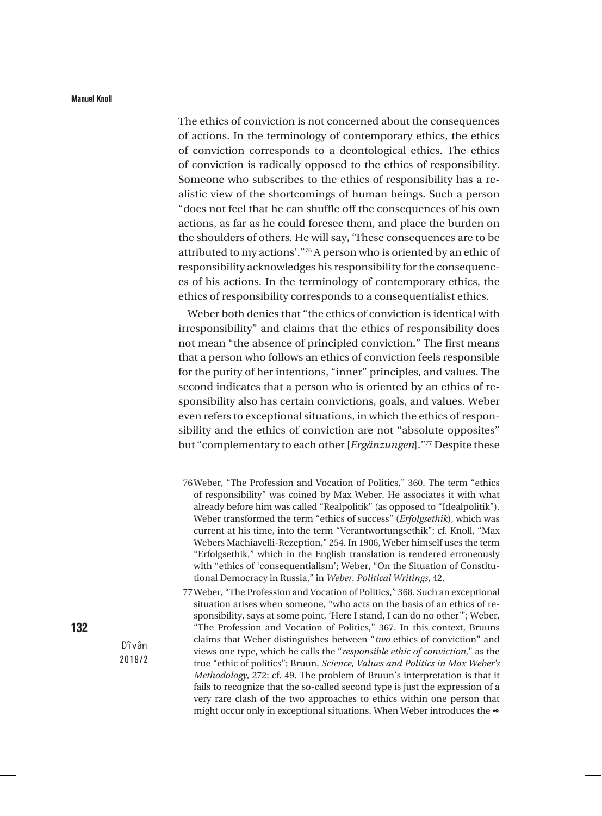The ethics of conviction is not concerned about the consequences of actions. In the terminology of contemporary ethics, the ethics of conviction corresponds to a deontological ethics. The ethics of conviction is radically opposed to the ethics of responsibility. Someone who subscribes to the ethics of responsibility has a realistic view of the shortcomings of human beings. Such a person "does not feel that he can shuffle off the consequences of his own actions, as far as he could foresee them, and place the burden on the shoulders of others. He will say, 'These consequences are to be attributed to my actions'."76 A person who is oriented by an ethic of responsibility acknowledges his responsibility for the consequences of his actions. In the terminology of contemporary ethics, the ethics of responsibility corresponds to a consequentialist ethics.

Weber both denies that "the ethics of conviction is identical with irresponsibility" and claims that the ethics of responsibility does not mean "the absence of principled conviction." The first means that a person who follows an ethics of conviction feels responsible for the purity of her intentions, "inner" principles, and values. The second indicates that a person who is oriented by an ethics of responsibility also has certain convictions, goals, and values. Weber even refers to exceptional situations, in which the ethics of responsibility and the ethics of conviction are not "absolute opposites" but "complementary to each other [*Ergänzungen*]."77 Despite these

132

<sup>76</sup>Weber, "The Profession and Vocation of Politics," 360. The term "ethics of responsibility" was coined by Max Weber. He associates it with what already before him was called "Realpolitik" (as opposed to "Idealpolitik"). Weber transformed the term "ethics of success" (*Erfolgsethik*), which was current at his time, into the term "Verantwortungsethik"; cf. Knoll, "Max Webers Machiavelli-Rezeption," 254. In 1906, Weber himself uses the term "Erfolgsethik," which in the English translation is rendered erroneously with "ethics of 'consequentialism'; Weber, "On the Situation of Constitutional Democracy in Russia," in *Weber. Political Writings*, 42.

<sup>77</sup>Weber, "The Profession and Vocation of Politics," 368. Such an exceptional situation arises when someone, "who acts on the basis of an ethics of responsibility, says at some point, 'Here I stand, I can do no other'"; Weber, "The Profession and Vocation of Politics," 367. In this context, Bruuns claims that Weber distinguishes between "*two* ethics of conviction" and views one type, which he calls the "*responsible ethic of conviction*," as the true "ethic of politics"; Bruun, *Science, Values and Politics in Max Weber's Methodology*, 272; cf. 49. The problem of Bruun's interpretation is that it fails to recognize that the so-called second type is just the expression of a very rare clash of the two approaches to ethics within one person that might occur only in exceptional situations. When Weber introduces the  $\bullet$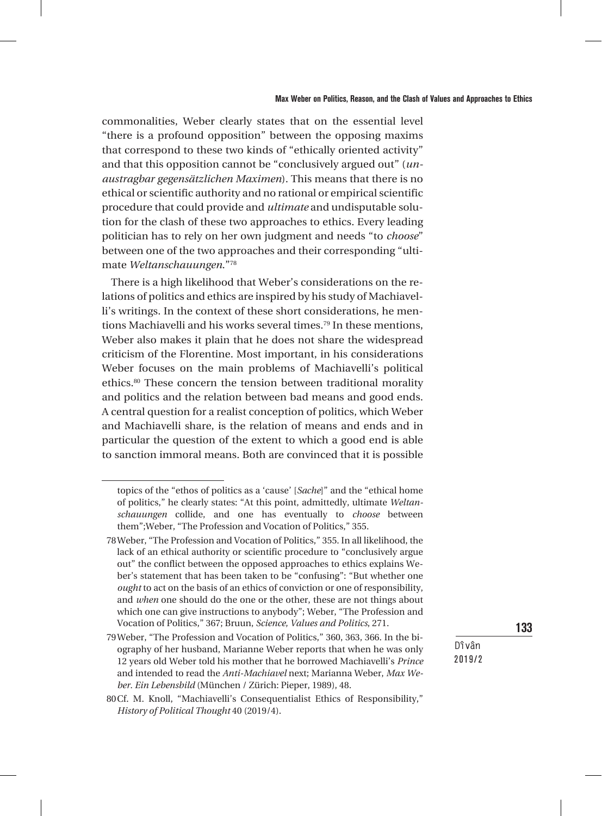commonalities, Weber clearly states that on the essential level "there is a profound opposition" between the opposing maxims that correspond to these two kinds of "ethically oriented activity" and that this opposition cannot be "conclusively argued out" (*unaustragbar gegensätzlichen Maximen*). This means that there is no ethical or scientific authority and no rational or empirical scientific procedure that could provide and *ultimate* and undisputable solution for the clash of these two approaches to ethics. Every leading politician has to rely on her own judgment and needs "to *choose*" between one of the two approaches and their corresponding "ultimate *Weltanschauungen*."78

There is a high likelihood that Weber's considerations on the relations of politics and ethics are inspired by his study of Machiavelli's writings. In the context of these short considerations, he mentions Machiavelli and his works several times.<sup>79</sup> In these mentions, Weber also makes it plain that he does not share the widespread criticism of the Florentine. Most important, in his considerations Weber focuses on the main problems of Machiavelli's political ethics.80 These concern the tension between traditional morality and politics and the relation between bad means and good ends. A central question for a realist conception of politics, which Weber and Machiavelli share, is the relation of means and ends and in particular the question of the extent to which a good end is able to sanction immoral means. Both are convinced that it is possible

133

topics of the "ethos of politics as a 'cause' [*Sache*]" and the "ethical home of politics," he clearly states: "At this point, admittedly, ultimate *Weltanschauungen* collide, and one has eventually to *choose* between them";Weber, "The Profession and Vocation of Politics," 355.

<sup>78</sup>Weber, "The Profession and Vocation of Politics," 355. In all likelihood, the lack of an ethical authority or scientific procedure to "conclusively argue out" the conflict between the opposed approaches to ethics explains Weber's statement that has been taken to be "confusing": "But whether one *ought* to act on the basis of an ethics of conviction or one of responsibility, and *when* one should do the one or the other, these are not things about which one can give instructions to anybody"; Weber, "The Profession and Vocation of Politics," 367; Bruun, *Science, Values and Politics*, 271.

<sup>79</sup>Weber, "The Profession and Vocation of Politics," 360, 363, 366. In the biography of her husband, Marianne Weber reports that when he was only 12 years old Weber told his mother that he borrowed Machiavelli's *Prince* and intended to read the *Anti-Machiavel* next; Marianna Weber, *Max Weber. Ein Lebensbild* (München / Zürich: Pieper, 1989), 48.

<sup>80</sup>Cf. M. Knoll, "Machiavelli's Consequentialist Ethics of Responsibility," *History of Political Thought* 40 (2019/4).

**Dîvân** 2019/2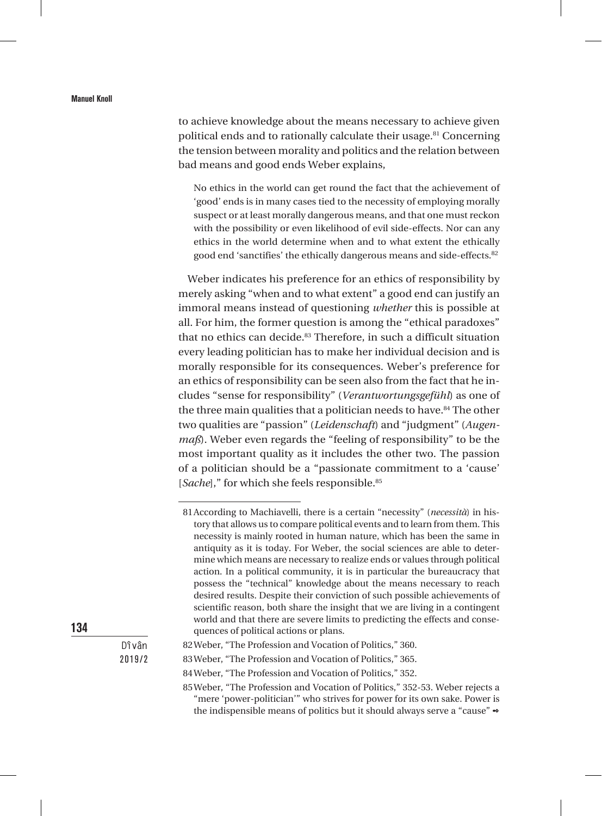to achieve knowledge about the means necessary to achieve given political ends and to rationally calculate their usage.<sup>81</sup> Concerning the tension between morality and politics and the relation between bad means and good ends Weber explains,

No ethics in the world can get round the fact that the achievement of 'good' ends is in many cases tied to the necessity of employing morally suspect or at least morally dangerous means, and that one must reckon with the possibility or even likelihood of evil side-effects. Nor can any ethics in the world determine when and to what extent the ethically good end 'sanctifies' the ethically dangerous means and side-effects.82

Weber indicates his preference for an ethics of responsibility by merely asking "when and to what extent" a good end can justify an immoral means instead of questioning *whether* this is possible at all. For him, the former question is among the "ethical paradoxes" that no ethics can decide.<sup>83</sup> Therefore, in such a difficult situation every leading politician has to make her individual decision and is morally responsible for its consequences. Weber's preference for an ethics of responsibility can be seen also from the fact that he includes "sense for responsibility" (*Verantwortungsgefühl*) as one of the three main qualities that a politician needs to have.<sup>84</sup> The other two qualities are "passion" (*Leidenschaft*) and "judgment" (*Augenmaß*). Weber even regards the "feeling of responsibility" to be the most important quality as it includes the other two. The passion of a politician should be a "passionate commitment to a 'cause' [*Sache*]," for which she feels responsible.<sup>85</sup>

134

<sup>81</sup>According to Machiavelli, there is a certain "necessity" (*necessità*) in history that allows us to compare political events and to learn from them. This necessity is mainly rooted in human nature, which has been the same in antiquity as it is today. For Weber, the social sciences are able to determine which means are necessary to realize ends or values through political action. In a political community, it is in particular the bureaucracy that possess the "technical" knowledge about the means necessary to reach desired results. Despite their conviction of such possible achievements of scientific reason, both share the insight that we are living in a contingent world and that there are severe limits to predicting the effects and consequences of political actions or plans.

<sup>82</sup>Weber, "The Profession and Vocation of Politics," 360.

<sup>83</sup>Weber, "The Profession and Vocation of Politics," 365.

<sup>84</sup>Weber, "The Profession and Vocation of Politics," 352.

<sup>85</sup>Weber, "The Profession and Vocation of Politics," 352-53. Weber rejects a "mere 'power-politician'" who strives for power for its own sake. Power is the indispensible means of politics but it should always serve a "cause"  $\bullet$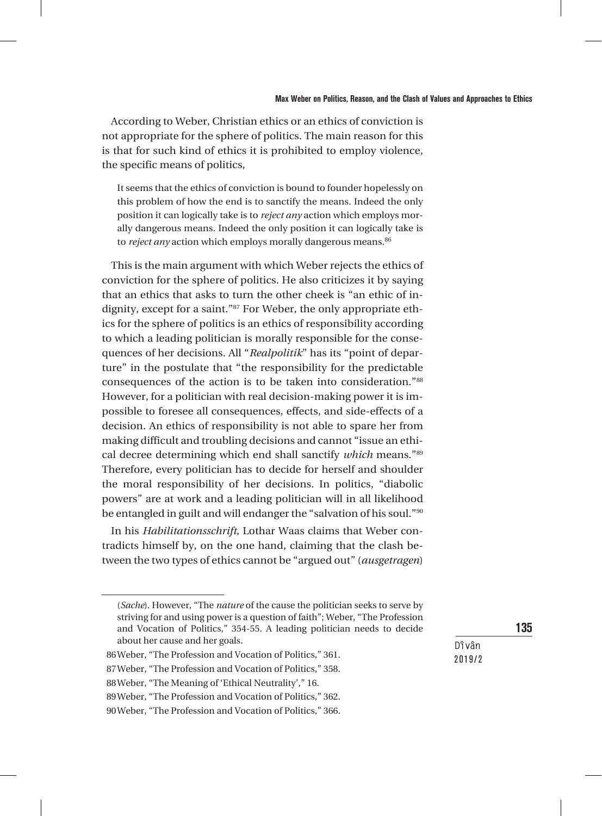According to Weber, Christian ethics or an ethics of conviction is not appropriate for the sphere of politics. The main reason for this is that for such kind of ethics it is prohibited to employ violence, the specific means of politics,

It seems that the ethics of conviction is bound to founder hopelessly on this problem of how the end is to sanctify the means. Indeed the only position it can logically take is to *reject any* action which employs morally dangerous means. Indeed the only position it can logically take is to *reject any* action which employs morally dangerous means.<sup>86</sup>

This is the main argument with which Weber rejects the ethics of conviction for the sphere of politics. He also criticizes it by saying that an ethics that asks to turn the other cheek is "an ethic of indignity, except for a saint."87 For Weber, the only appropriate ethics for the sphere of politics is an ethics of responsibility according to which a leading politician is morally responsible for the consequences of her decisions. All "*Realpolitik*" has its "point of departure" in the postulate that "the responsibility for the predictable consequences of the action is to be taken into consideration."88 However, for a politician with real decision-making power it is impossible to foresee all consequences, effects, and side-effects of a decision. An ethics of responsibility is not able to spare her from making difficult and troubling decisions and cannot "issue an ethical decree determining which end shall sanctify *which* means."89 Therefore, every politician has to decide for herself and shoulder the moral responsibility of her decisions. In politics, "diabolic powers" are at work and a leading politician will in all likelihood be entangled in guilt and will endanger the "salvation of his soul."90

In his *Habilitationsschrift*, Lothar Waas claims that Weber contradicts himself by, on the one hand, claiming that the clash between the two types of ethics cannot be "argued out" (*ausgetragen*)

135

```
Dîvân
2019/2
```
<sup>(</sup>*Sache*). However, "The *nature* of the cause the politician seeks to serve by striving for and using power is a question of faith"; Weber, "The Profession and Vocation of Politics," 354-55. A leading politician needs to decide about her cause and her goals.

<sup>86</sup>Weber, "The Profession and Vocation of Politics," 361.

<sup>87</sup>Weber, "The Profession and Vocation of Politics," 358.

<sup>88</sup>Weber, "The Meaning of 'Ethical Neutrality'," 16.

<sup>89</sup>Weber, "The Profession and Vocation of Politics," 362.

<sup>90</sup>Weber, "The Profession and Vocation of Politics," 366.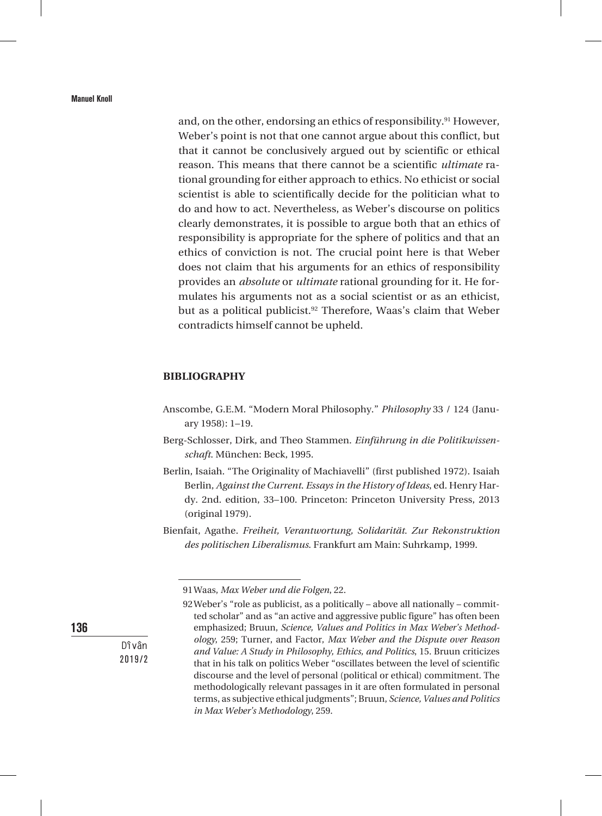and, on the other, endorsing an ethics of responsibility.<sup>91</sup> However, Weber's point is not that one cannot argue about this conflict, but that it cannot be conclusively argued out by scientific or ethical reason. This means that there cannot be a scientific *ultimate* rational grounding for either approach to ethics. No ethicist or social scientist is able to scientifically decide for the politician what to do and how to act. Nevertheless, as Weber's discourse on politics clearly demonstrates, it is possible to argue both that an ethics of responsibility is appropriate for the sphere of politics and that an ethics of conviction is not. The crucial point here is that Weber does not claim that his arguments for an ethics of responsibility provides an *absolute* or *ultimate* rational grounding for it. He formulates his arguments not as a social scientist or as an ethicist, but as a political publicist.<sup>92</sup> Therefore, Waas's claim that Weber contradicts himself cannot be upheld.

#### **BIBLIOGRAPHY**

- Anscombe, G.E.M. "Modern Moral Philosophy." *Philosophy* 33 / 124 (January 1958): 1–19.
- Berg-Schlosser, Dirk, and Theo Stammen. *Einführung in die Politikwissenschaft*. München: Beck, 1995.
- Berlin, Isaiah. "The Originality of Machiavelli" (first published 1972). Isaiah Berlin, *Against the Current*. *Essays in the History of Ideas*, ed. Henry Hardy. 2nd. edition, 33–100. Princeton: Princeton University Press, 2013 (original 1979).
- Bienfait, Agathe. *Freiheit, Verantwortung, Solidarität. Zur Rekonstruktion des politischen Liberalismus*. Frankfurt am Main: Suhrkamp, 1999.

136

<sup>91</sup>Waas, *Max Weber und die Folgen*, 22.

<sup>92</sup>Weber's "role as publicist, as a politically – above all nationally – committed scholar" and as "an active and aggressive public figure" has often been emphasized; Bruun, *Science, Values and Politics in Max Weber's Methodology*, 259; Turner, and Factor, *Max Weber and the Dispute over Reason and Value: A Study in Philosophy, Ethics, and Politics*, 15. Bruun criticizes that in his talk on politics Weber "oscillates between the level of scientific discourse and the level of personal (political or ethical) commitment. The methodologically relevant passages in it are often formulated in personal terms, as subjective ethical judgments"; Bruun, *Science, Values and Politics in Max Weber's Methodology*, 259.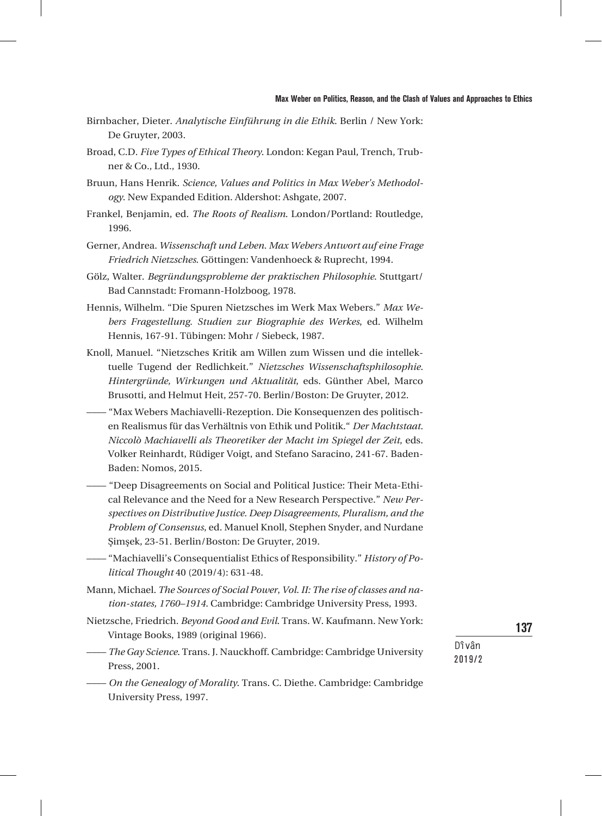- Birnbacher, Dieter. *Analytische Einführung in die Ethik*. Berlin / New York: De Gruyter, 2003.
- Broad, C.D. *Five Types of Ethical Theory*. London: Kegan Paul, Trench, Trubner & Co., Ltd., 1930.
- Bruun, Hans Henrik. *Science, Values and Politics in Max Weber's Methodology*. New Expanded Edition. Aldershot: Ashgate, 2007.
- Frankel, Benjamin, ed. *The Roots of Realism*. London/Portland: Routledge, 1996.
- Gerner, Andrea. *Wissenschaft und Leben. Max Webers Antwort auf eine Frage Friedrich Nietzsches*. Göttingen: Vandenhoeck & Ruprecht, 1994.
- Gölz, Walter. *Begründungsprobleme der praktischen Philosophie*. Stuttgart/ Bad Cannstadt: Fromann-Holzboog, 1978.
- Hennis, Wilhelm. "Die Spuren Nietzsches im Werk Max Webers." *Max Webers Fragestellung. Studien zur Biographie des Werkes*, ed. Wilhelm Hennis, 167-91. Tübingen: Mohr / Siebeck, 1987.
- Knoll, Manuel. "Nietzsches Kritik am Willen zum Wissen und die intellektuelle Tugend der Redlichkeit." *Nietzsches Wissenschaftsphilosophie. Hintergründe, Wirkungen und Aktualität*, eds. Günther Abel, Marco Brusotti, and Helmut Heit, 257-70. Berlin/Boston: De Gruyter, 2012.
- –––– "Max Webers Machiavelli-Rezeption. Die Konsequenzen des politischen Realismus für das Verhältnis von Ethik und Politik." *Der Machtstaat. Niccolò Machiavelli als Theoretiker der Macht im Spiegel der Zeit*, eds. Volker Reinhardt, Rüdiger Voigt, and Stefano Saracino, 241-67. Baden-Baden: Nomos, 2015.
- –––– "Deep Disagreements on Social and Political Justice: Their Meta-Ethical Relevance and the Need for a New Research Perspective." *New Perspectives on Distributive Justice. Deep Disagreements, Pluralism, and the Problem of Consensus*, ed. Manuel Knoll, Stephen Snyder, and Nurdane Şimşek, 23-51. Berlin/Boston: De Gruyter, 2019.
- –––– "Machiavelli's Consequentialist Ethics of Responsibility." *History of Political Thought* 40 (2019/4): 631-48.
- Mann, Michael. *The Sources of Social Power*, *Vol. II: The rise of classes and nation-states, 1760–1914*. Cambridge: Cambridge University Press, 1993.
- Nietzsche, Friedrich. *Beyond Good and Evil*. Trans. W. Kaufmann. New York: Vintage Books, 1989 (original 1966).
- –––– *The Gay Science*. Trans. J. Nauckhoff. Cambridge: Cambridge University Press, 2001.
- –––– *On the Genealogy of Morality*. Trans. C. Diethe. Cambridge: Cambridge University Press, 1997.

137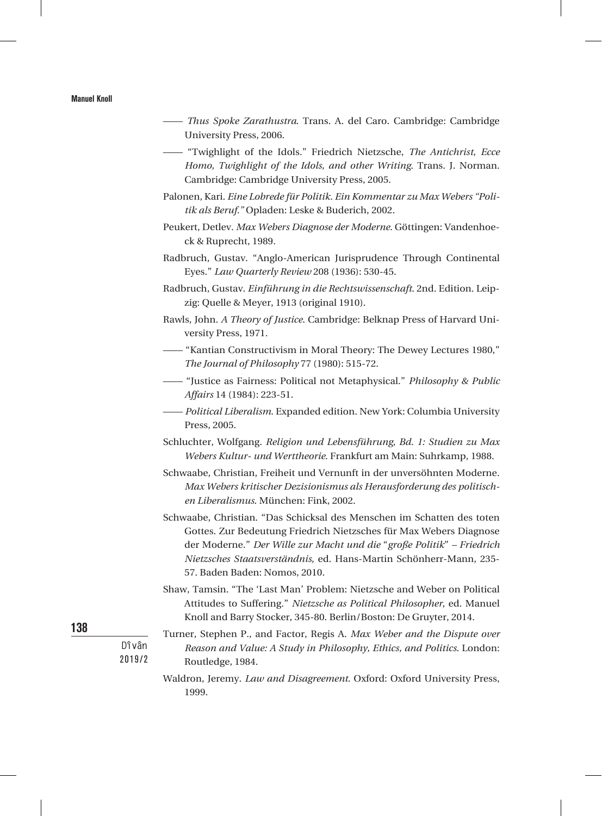- –––– *Thus Spoke Zarathustra*. Trans. A. del Caro. Cambridge: Cambridge University Press, 2006.
- –––– "Twighlight of the Idols*.*" Friedrich Nietzsche, *The Antichrist, Ecce Homo, Twighlight of the Idols, and other Writing*. Trans. J. Norman. Cambridge: Cambridge University Press, 2005.
- Palonen, Kari. *Eine Lobrede für Politik. Ein Kommentar zu Max Webers "Politik als Beruf."* Opladen: Leske & Buderich, 2002.
- Peukert, Detlev. *Max Webers Diagnose der Moderne*. Göttingen: Vandenhoeck & Ruprecht, 1989.
- Radbruch, Gustav. "Anglo-American Jurisprudence Through Continental Eyes." *Law Quarterly Review* 208 (1936): 530-45.
- Radbruch, Gustav. *Einführung in die Rechtswissenschaft*. 2nd. Edition. Leipzig: Quelle & Meyer, 1913 (original 1910).
- Rawls, John. *A Theory of Justice*. Cambridge: Belknap Press of Harvard University Press, 1971.
- –––– "Kantian Constructivism in Moral Theory: The Dewey Lectures 1980," *The Journal of Philosophy* 77 (1980): 515-72.
- –––– "Justice as Fairness: Political not Metaphysical." *Philosophy & Public Affairs* 14 (1984): 223-51.
- –––– *Political Liberalism*. Expanded edition. New York: Columbia University Press, 2005.
- Schluchter, Wolfgang. *Religion und Lebensführung, Bd. 1: Studien zu Max Webers Kultur- und Werttheorie*. Frankfurt am Main: Suhrkamp, 1988.
- Schwaabe, Christian, Freiheit und Vernunft in der unversöhnten Moderne. *Max Webers kritischer Dezisionismus als Herausforderung des politischen Liberalismus*. München: Fink, 2002.
- Schwaabe, Christian. "Das Schicksal des Menschen im Schatten des toten Gottes. Zur Bedeutung Friedrich Nietzsches für Max Webers Diagnose der Moderne." *Der Wille zur Macht und die* "*große Politik*" *– Friedrich Nietzsches Staatsverständnis*, ed. Hans-Martin Schönherr-Mann, 235- 57. Baden Baden: Nomos, 2010.
- Shaw, Tamsin. "The 'Last Man' Problem: Nietzsche and Weber on Political Attitudes to Suffering." *Nietzsche as Political Philosopher*, ed. Manuel Knoll and Barry Stocker, 345-80. Berlin/Boston: De Gruyter, 2014.
- Turner, Stephen P., and Factor, Regis A. *Max Weber and the Dispute over Reason and Value: A Study in Philosophy, Ethics, and Politics*. London: Routledge, 1984.
- Waldron, Jeremy. *Law and Disagreement*. Oxford: Oxford University Press, 1999.

138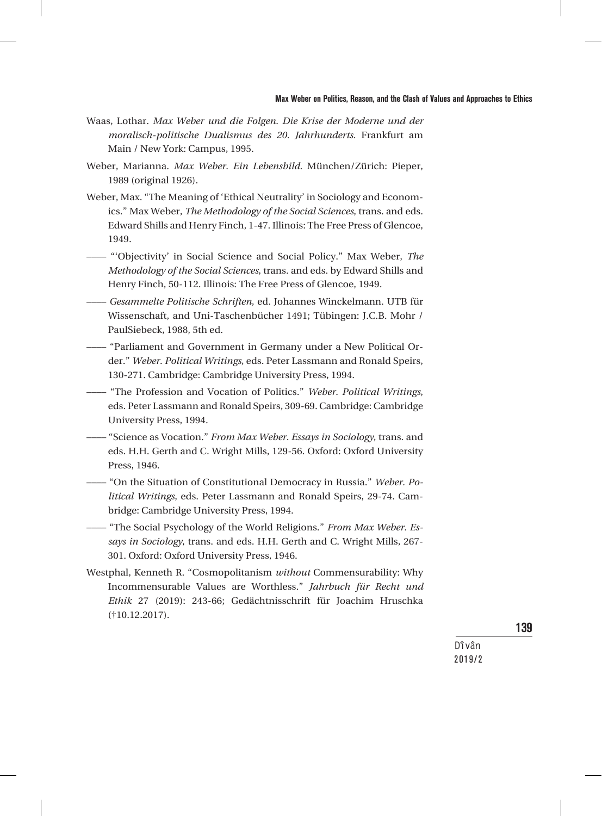#### Max Weber on Politics, Reason, and the Clash of Values and Approaches to Ethics

- Waas, Lothar. *Max Weber und die Folgen. Die Krise der Moderne und der moralisch-politische Dualismus des 20. Jahrhunderts.* Frankfurt am Main / New York: Campus, 1995.
- Weber, Marianna. *Max Weber. Ein Lebensbild*. München/Zürich: Pieper, 1989 (original 1926).
- Weber, Max. "The Meaning of 'Ethical Neutrality' in Sociology and Economics." Max Weber, *The Methodology of the Social Sciences*, trans. and eds. Edward Shills and Henry Finch, 1-47. Illinois: The Free Press of Glencoe, 1949.
- –––– "'Objectivity' in Social Science and Social Policy." Max Weber, *The Methodology of the Social Sciences*, trans. and eds. by Edward Shills and Henry Finch, 50-112. Illinois: The Free Press of Glencoe, 1949.
- –––– *Gesammelte Politische Schriften*, ed. Johannes Winckelmann. UTB für Wissenschaft, and Uni-Taschenbücher 1491; Tübingen: J.C.B. Mohr / PaulSiebeck, 1988, 5th ed.
- –––– "Parliament and Government in Germany under a New Political Order." *Weber. Political Writings*, eds. Peter Lassmann and Ronald Speirs, 130-271. Cambridge: Cambridge University Press, 1994.
- –––– "The Profession and Vocation of Politics." *Weber. Political Writings*, eds. Peter Lassmann and Ronald Speirs, 309-69. Cambridge: Cambridge University Press, 1994.
- –––– "Science as Vocation." *From Max Weber. Essays in Sociology*, trans. and eds. H.H. Gerth and C. Wright Mills, 129-56. Oxford: Oxford University Press, 1946.
- $-$  "On the Situation of Constitutional Democracy in Russia." Weber. Po*litical Writings*, eds. Peter Lassmann and Ronald Speirs, 29-74. Cambridge: Cambridge University Press, 1994.
- $-$  "The Social Psychology of the World Religions." *From Max Weber. Essays in Sociology*, trans. and eds. H.H. Gerth and C. Wright Mills, 267- 301. Oxford: Oxford University Press, 1946.
- Westphal, Kenneth R. "Cosmopolitanism *without* Commensurability: Why Incommensurable Values are Worthless." *Jahrbuch für Recht und Ethik* 27 (2019): 243-66; Gedächtnisschrift für Joachim Hruschka (†10.12.2017).

139